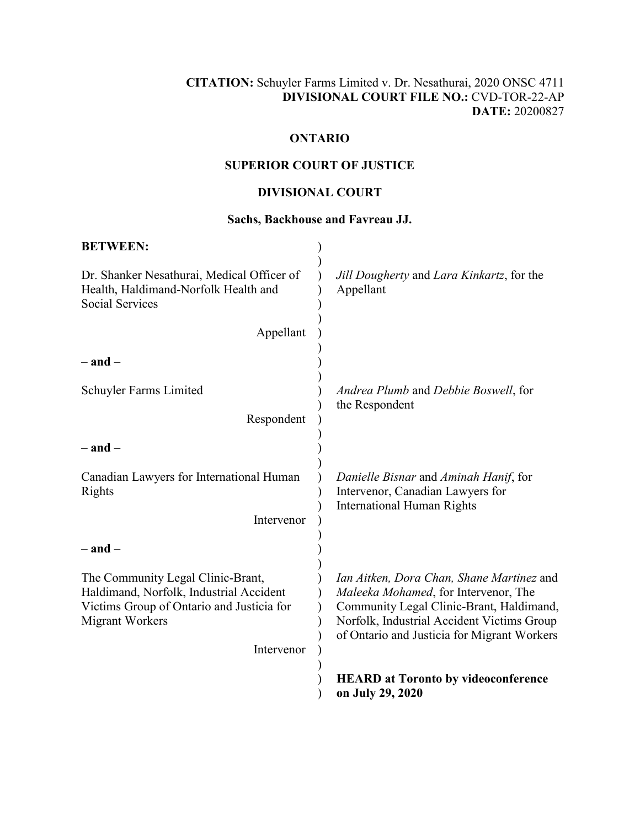## **CITATION:** Schuyler Farms Limited v. Dr. Nesathurai, 2020 ONSC 4711 **DIVISIONAL COURT FILE NO.:** CVD-TOR-22-AP **DATE:** 20200827

# **ONTARIO**

# **SUPERIOR COURT OF JUSTICE**

# **DIVISIONAL COURT**

### **Sachs, Backhouse and Favreau JJ.**

| <b>BETWEEN:</b>                                                                                                                                     |                                                                                                                                                                                                                            |
|-----------------------------------------------------------------------------------------------------------------------------------------------------|----------------------------------------------------------------------------------------------------------------------------------------------------------------------------------------------------------------------------|
| Dr. Shanker Nesathurai, Medical Officer of<br>Health, Haldimand-Norfolk Health and<br><b>Social Services</b>                                        | Jill Dougherty and Lara Kinkartz, for the<br>Appellant                                                                                                                                                                     |
| Appellant                                                                                                                                           |                                                                                                                                                                                                                            |
| $-$ and $-$                                                                                                                                         |                                                                                                                                                                                                                            |
| Schuyler Farms Limited                                                                                                                              | Andrea Plumb and Debbie Boswell, for<br>the Respondent                                                                                                                                                                     |
| Respondent                                                                                                                                          |                                                                                                                                                                                                                            |
| $-$ and $-$                                                                                                                                         |                                                                                                                                                                                                                            |
| Canadian Lawyers for International Human<br>Rights                                                                                                  | Danielle Bisnar and Aminah Hanif, for<br>Intervenor, Canadian Lawyers for<br><b>International Human Rights</b>                                                                                                             |
| Intervenor                                                                                                                                          |                                                                                                                                                                                                                            |
| $-$ and $-$                                                                                                                                         |                                                                                                                                                                                                                            |
| The Community Legal Clinic-Brant,<br>Haldimand, Norfolk, Industrial Accident<br>Victims Group of Ontario and Justicia for<br><b>Migrant Workers</b> | Ian Aitken, Dora Chan, Shane Martinez and<br>Maleeka Mohamed, for Intervenor, The<br>Community Legal Clinic-Brant, Haldimand,<br>Norfolk, Industrial Accident Victims Group<br>of Ontario and Justicia for Migrant Workers |
| Intervenor                                                                                                                                          |                                                                                                                                                                                                                            |
|                                                                                                                                                     | <b>HEARD</b> at Toronto by videoconference<br>on July 29, 2020                                                                                                                                                             |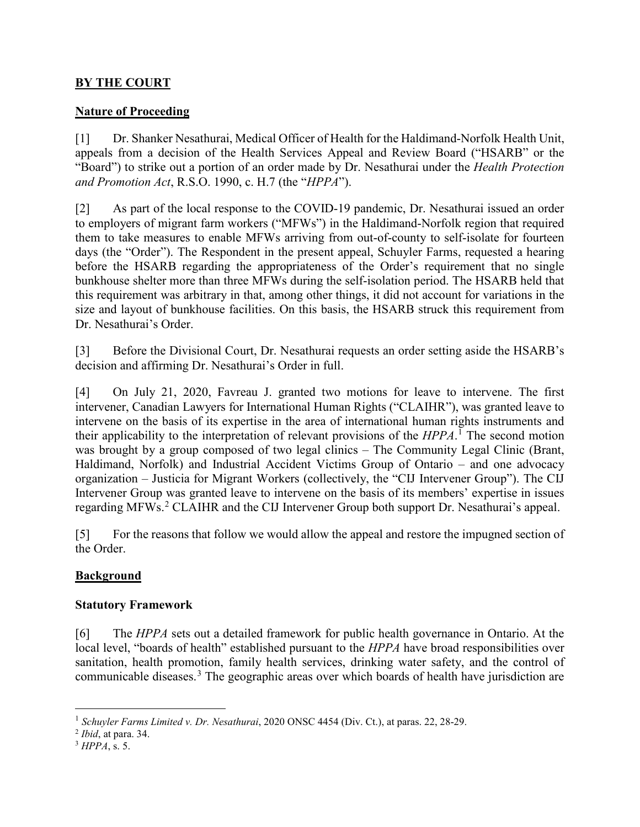## **BY THE COURT**

### **Nature of Proceeding**

[1] Dr. Shanker Nesathurai, Medical Officer of Health for the Haldimand-Norfolk Health Unit, appeals from a decision of the Health Services Appeal and Review Board ("HSARB" or the "Board") to strike out a portion of an order made by Dr. Nesathurai under the *Health Protection and Promotion Act*, R.S.O. 1990, c. H.7 (the "*HPPA*").

[2] As part of the local response to the COVID-19 pandemic, Dr. Nesathurai issued an order to employers of migrant farm workers ("MFWs") in the Haldimand-Norfolk region that required them to take measures to enable MFWs arriving from out-of-county to self-isolate for fourteen days (the "Order"). The Respondent in the present appeal, Schuyler Farms, requested a hearing before the HSARB regarding the appropriateness of the Order's requirement that no single bunkhouse shelter more than three MFWs during the self-isolation period. The HSARB held that this requirement was arbitrary in that, among other things, it did not account for variations in the size and layout of bunkhouse facilities. On this basis, the HSARB struck this requirement from Dr. Nesathurai's Order.

[3] Before the Divisional Court, Dr. Nesathurai requests an order setting aside the HSARB's decision and affirming Dr. Nesathurai's Order in full.

[4] On July 21, 2020, Favreau J. granted two motions for leave to intervene. The first intervener, Canadian Lawyers for International Human Rights ("CLAIHR"), was granted leave to intervene on the basis of its expertise in the area of international human rights instruments and their applicability to the interpretation of relevant provisions of the *HPPA*. <sup>1</sup> The second motion was brought by a group composed of two legal clinics – The Community Legal Clinic (Brant, Haldimand, Norfolk) and Industrial Accident Victims Group of Ontario – and one advocacy organization – Justicia for Migrant Workers (collectively, the "CIJ Intervener Group"). The CIJ Intervener Group was granted leave to intervene on the basis of its members' expertise in issues regarding MFWs.<sup>2</sup> CLAIHR and the CIJ Intervener Group both support Dr. Nesathurai's appeal.

[5] For the reasons that follow we would allow the appeal and restore the impugned section of the Order.

## **Background**

#### **Statutory Framework**

[6] The *HPPA* sets out a detailed framework for public health governance in Ontario. At the local level, "boards of health" established pursuant to the *HPPA* have broad responsibilities over sanitation, health promotion, family health services, drinking water safety, and the control of communicable diseases.<sup>3</sup> The geographic areas over which boards of health have jurisdiction are

<sup>3</sup> *HPPA*, s. 5.

 <sup>1</sup> *Schuyler Farms Limited v. Dr. Nesathurai*, 2020 ONSC 4454 (Div. Ct.), at paras. 22, 28-29.

<sup>2</sup> *Ibid*, at para. 34.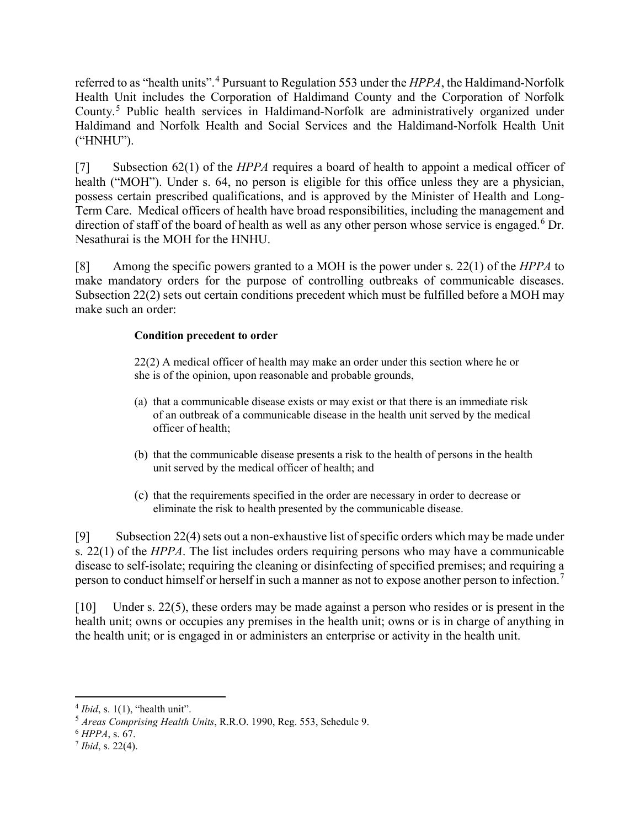referred to as "health units".<sup>4</sup> Pursuant to Regulation 553 under the *HPPA*, the Haldimand-Norfolk Health Unit includes the Corporation of Haldimand County and the Corporation of Norfolk County.<sup>5</sup> Public health services in Haldimand-Norfolk are administratively organized under Haldimand and Norfolk Health and Social Services and the Haldimand-Norfolk Health Unit ("HNHU").

[7] Subsection 62(1) of the *HPPA* requires a board of health to appoint a medical officer of health ("MOH"). Under s. 64, no person is eligible for this office unless they are a physician, possess certain prescribed qualifications, and is approved by the Minister of Health and Long-Term Care. Medical officers of health have broad responsibilities, including the management and direction of staff of the board of health as well as any other person whose service is engaged.<sup>6</sup> Dr. Nesathurai is the MOH for the HNHU.

[8] Among the specific powers granted to a MOH is the power under s. 22(1) of the *HPPA* to make mandatory orders for the purpose of controlling outbreaks of communicable diseases. Subsection 22(2) sets out certain conditions precedent which must be fulfilled before a MOH may make such an order:

### **Condition precedent to order**

22(2) A medical officer of health may make an order under this section where he or she is of the opinion, upon reasonable and probable grounds,

- (a) that a communicable disease exists or may exist or that there is an immediate risk of an outbreak of a communicable disease in the health unit served by the medical officer of health;
- (b) that the communicable disease presents a risk to the health of persons in the health unit served by the medical officer of health; and
- (c) that the requirements specified in the order are necessary in order to decrease or eliminate the risk to health presented by the communicable disease.

[9] Subsection 22(4) sets out a non-exhaustive list of specific orders which may be made under s. 22(1) of the *HPPA*. The list includes orders requiring persons who may have a communicable disease to self-isolate; requiring the cleaning or disinfecting of specified premises; and requiring a person to conduct himself or herself in such a manner as not to expose another person to infection.<sup>7</sup>

[10] Under s. 22(5), these orders may be made against a person who resides or is present in the health unit; owns or occupies any premises in the health unit; owns or is in charge of anything in the health unit; or is engaged in or administers an enterprise or activity in the health unit.

 $4$  *Ibid*, s. 1(1), "health unit".

<sup>5</sup> *Areas Comprising Health Units*, R.R.O. 1990, Reg. 553, Schedule 9.

<sup>6</sup> *HPPA*, s. 67.

<sup>7</sup> *Ibid*, s. 22(4).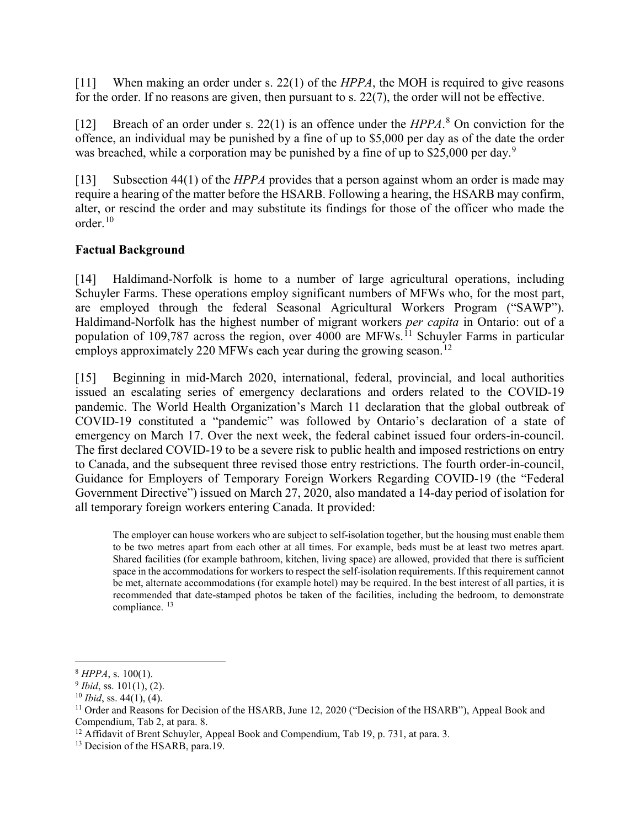[11] When making an order under s. 22(1) of the *HPPA*, the MOH is required to give reasons for the order. If no reasons are given, then pursuant to s. 22(7), the order will not be effective.

[12] Breach of an order under s. 22(1) is an offence under the *HPPA*. <sup>8</sup> On conviction for the offence, an individual may be punished by a fine of up to \$5,000 per day as of the date the order was breached, while a corporation may be punished by a fine of up to \$25,000 per day.<sup>9</sup>

[13] Subsection 44(1) of the *HPPA* provides that a person against whom an order is made may require a hearing of the matter before the HSARB. Following a hearing, the HSARB may confirm, alter, or rescind the order and may substitute its findings for those of the officer who made the order.<sup>10</sup>

## **Factual Background**

[14] Haldimand-Norfolk is home to a number of large agricultural operations, including Schuyler Farms. These operations employ significant numbers of MFWs who, for the most part, are employed through the federal Seasonal Agricultural Workers Program ("SAWP"). Haldimand-Norfolk has the highest number of migrant workers *per capita* in Ontario: out of a population of 109,787 across the region, over  $4000$  are MFWs.<sup>11</sup> Schuyler Farms in particular employs approximately 220 MFWs each year during the growing season.<sup>12</sup>

[15] Beginning in mid-March 2020, international, federal, provincial, and local authorities issued an escalating series of emergency declarations and orders related to the COVID-19 pandemic. The World Health Organization's March 11 declaration that the global outbreak of COVID-19 constituted a "pandemic" was followed by Ontario's declaration of a state of emergency on March 17. Over the next week, the federal cabinet issued four orders-in-council. The first declared COVID-19 to be a severe risk to public health and imposed restrictions on entry to Canada, and the subsequent three revised those entry restrictions. The fourth order-in-council, Guidance for Employers of Temporary Foreign Workers Regarding COVID-19 (the "Federal Government Directive") issued on March 27, 2020, also mandated a 14-day period of isolation for all temporary foreign workers entering Canada. It provided:

The employer can house workers who are subject to self-isolation together, but the housing must enable them to be two metres apart from each other at all times. For example, beds must be at least two metres apart. Shared facilities (for example bathroom, kitchen, living space) are allowed, provided that there is sufficient space in the accommodations for workers to respect the self-isolation requirements. If this requirement cannot be met, alternate accommodations (for example hotel) may be required. In the best interest of all parties, it is recommended that date-stamped photos be taken of the facilities, including the bedroom, to demonstrate compliance.<sup>13</sup>

 <sup>8</sup> *HPPA*, s. 100(1).

<sup>9</sup> *Ibid*, ss. 101(1), (2).

 $10$  *Ibid*, ss. 44(1), (4).

<sup>&</sup>lt;sup>11</sup> Order and Reasons for Decision of the HSARB, June 12, 2020 ("Decision of the HSARB"), Appeal Book and Compendium, Tab 2, at para. 8.

<sup>&</sup>lt;sup>12</sup> Affidavit of Brent Schuyler, Appeal Book and Compendium, Tab 19, p. 731, at para. 3.

<sup>&</sup>lt;sup>13</sup> Decision of the HSARB, para.19.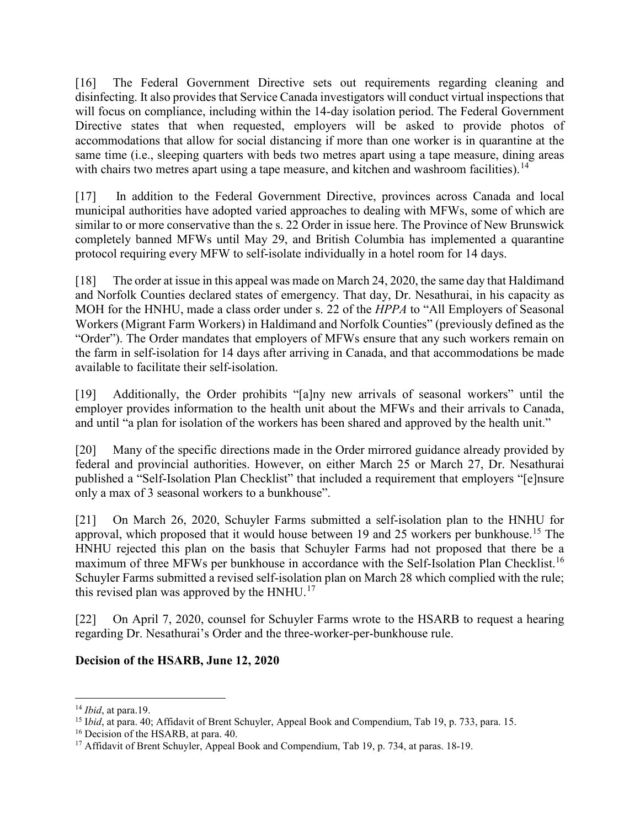[16] The Federal Government Directive sets out requirements regarding cleaning and disinfecting. It also provides that Service Canada investigators will conduct virtual inspections that will focus on compliance, including within the 14-day isolation period. The Federal Government Directive states that when requested, employers will be asked to provide photos of accommodations that allow for social distancing if more than one worker is in quarantine at the same time (i.e., sleeping quarters with beds two metres apart using a tape measure, dining areas with chairs two metres apart using a tape measure, and kitchen and washroom facilities).<sup>14</sup>

[17] In addition to the Federal Government Directive, provinces across Canada and local municipal authorities have adopted varied approaches to dealing with MFWs, some of which are similar to or more conservative than the s. 22 Order in issue here. The Province of New Brunswick completely banned MFWs until May 29, and British Columbia has implemented a quarantine protocol requiring every MFW to self-isolate individually in a hotel room for 14 days.

[18] The order at issue in this appeal was made on March 24, 2020, the same day that Haldimand and Norfolk Counties declared states of emergency. That day, Dr. Nesathurai, in his capacity as MOH for the HNHU, made a class order under s. 22 of the *HPPA* to "All Employers of Seasonal Workers (Migrant Farm Workers) in Haldimand and Norfolk Counties" (previously defined as the "Order"). The Order mandates that employers of MFWs ensure that any such workers remain on the farm in self-isolation for 14 days after arriving in Canada, and that accommodations be made available to facilitate their self-isolation.

[19] Additionally, the Order prohibits "[a]ny new arrivals of seasonal workers" until the employer provides information to the health unit about the MFWs and their arrivals to Canada, and until "a plan for isolation of the workers has been shared and approved by the health unit."

[20] Many of the specific directions made in the Order mirrored guidance already provided by federal and provincial authorities. However, on either March 25 or March 27, Dr. Nesathurai published a "Self-Isolation Plan Checklist" that included a requirement that employers "[e]nsure only a max of 3 seasonal workers to a bunkhouse".

[21] On March 26, 2020, Schuyler Farms submitted a self-isolation plan to the HNHU for approval, which proposed that it would house between 19 and 25 workers per bunkhouse.<sup>15</sup> The HNHU rejected this plan on the basis that Schuyler Farms had not proposed that there be a maximum of three MFWs per bunkhouse in accordance with the Self-Isolation Plan Checklist.<sup>16</sup> Schuyler Farms submitted a revised self-isolation plan on March 28 which complied with the rule; this revised plan was approved by the  $HNHU.<sup>17</sup>$ 

[22] On April 7, 2020, counsel for Schuyler Farms wrote to the HSARB to request a hearing regarding Dr. Nesathurai's Order and the three-worker-per-bunkhouse rule.

# **Decision of the HSARB, June 12, 2020**

 <sup>14</sup> *Ibid*, at para.19.

<sup>15</sup> I*bid*, at para. 40; Affidavit of Brent Schuyler, Appeal Book and Compendium, Tab 19, p. 733, para. 15.

<sup>&</sup>lt;sup>16</sup> Decision of the HSARB, at para. 40.

<sup>&</sup>lt;sup>17</sup> Affidavit of Brent Schuyler, Appeal Book and Compendium, Tab 19, p. 734, at paras. 18-19.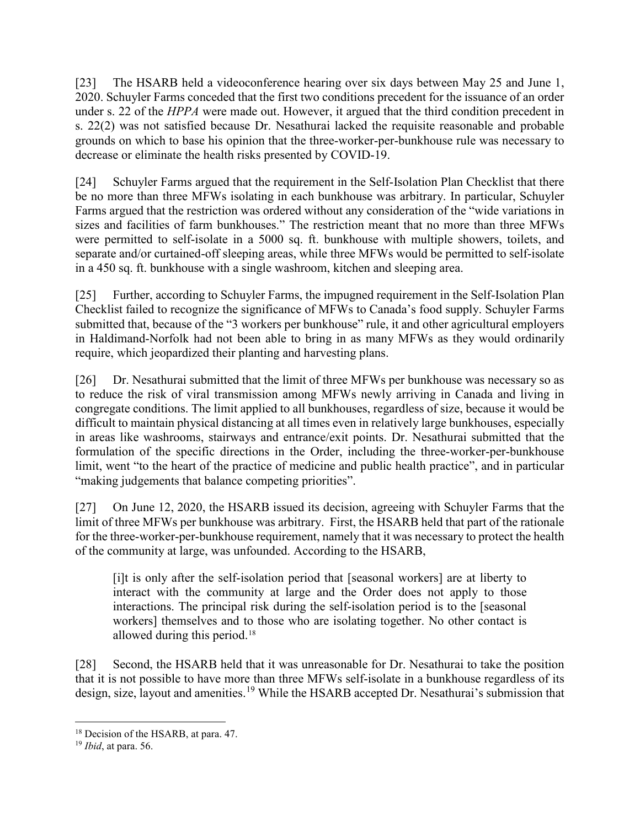[23] The HSARB held a videoconference hearing over six days between May 25 and June 1, 2020. Schuyler Farms conceded that the first two conditions precedent for the issuance of an order under s. 22 of the *HPPA* were made out. However, it argued that the third condition precedent in s. 22(2) was not satisfied because Dr. Nesathurai lacked the requisite reasonable and probable grounds on which to base his opinion that the three-worker-per-bunkhouse rule was necessary to decrease or eliminate the health risks presented by COVID-19.

[24] Schuyler Farms argued that the requirement in the Self-Isolation Plan Checklist that there be no more than three MFWs isolating in each bunkhouse was arbitrary. In particular, Schuyler Farms argued that the restriction was ordered without any consideration of the "wide variations in sizes and facilities of farm bunkhouses." The restriction meant that no more than three MFWs were permitted to self-isolate in a 5000 sq. ft. bunkhouse with multiple showers, toilets, and separate and/or curtained-off sleeping areas, while three MFWs would be permitted to self-isolate in a 450 sq. ft. bunkhouse with a single washroom, kitchen and sleeping area.

[25] Further, according to Schuyler Farms, the impugned requirement in the Self-Isolation Plan Checklist failed to recognize the significance of MFWs to Canada's food supply. Schuyler Farms submitted that, because of the "3 workers per bunkhouse" rule, it and other agricultural employers in Haldimand-Norfolk had not been able to bring in as many MFWs as they would ordinarily require, which jeopardized their planting and harvesting plans.

[26] Dr. Nesathurai submitted that the limit of three MFWs per bunkhouse was necessary so as to reduce the risk of viral transmission among MFWs newly arriving in Canada and living in congregate conditions. The limit applied to all bunkhouses, regardless of size, because it would be difficult to maintain physical distancing at all times even in relatively large bunkhouses, especially in areas like washrooms, stairways and entrance/exit points. Dr. Nesathurai submitted that the formulation of the specific directions in the Order, including the three-worker-per-bunkhouse limit, went "to the heart of the practice of medicine and public health practice", and in particular "making judgements that balance competing priorities".

[27] On June 12, 2020, the HSARB issued its decision, agreeing with Schuyler Farms that the limit of three MFWs per bunkhouse was arbitrary. First, the HSARB held that part of the rationale for the three-worker-per-bunkhouse requirement, namely that it was necessary to protect the health of the community at large, was unfounded. According to the HSARB,

[i]t is only after the self-isolation period that [seasonal workers] are at liberty to interact with the community at large and the Order does not apply to those interactions. The principal risk during the self-isolation period is to the [seasonal workers] themselves and to those who are isolating together. No other contact is allowed during this period.<sup>18</sup>

[28] Second, the HSARB held that it was unreasonable for Dr. Nesathurai to take the position that it is not possible to have more than three MFWs self-isolate in a bunkhouse regardless of its design, size, layout and amenities.<sup>19</sup> While the HSARB accepted Dr. Nesathurai's submission that

<sup>&</sup>lt;sup>18</sup> Decision of the HSARB, at para. 47.

<sup>19</sup> *Ibid*, at para. 56.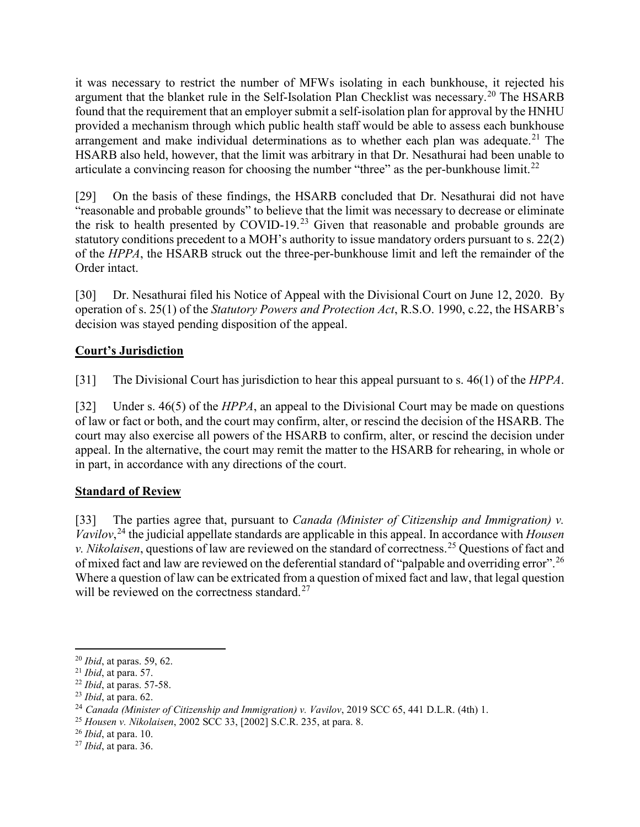it was necessary to restrict the number of MFWs isolating in each bunkhouse, it rejected his argument that the blanket rule in the Self-Isolation Plan Checklist was necessary.<sup>20</sup> The HSARB found that the requirement that an employer submit a self-isolation plan for approval by the HNHU provided a mechanism through which public health staff would be able to assess each bunkhouse arrangement and make individual determinations as to whether each plan was adequate.<sup>21</sup> The HSARB also held, however, that the limit was arbitrary in that Dr. Nesathurai had been unable to articulate a convincing reason for choosing the number "three" as the per-bunkhouse limit.<sup>22</sup>

[29] On the basis of these findings, the HSARB concluded that Dr. Nesathurai did not have "reasonable and probable grounds" to believe that the limit was necessary to decrease or eliminate the risk to health presented by COVID-19.<sup>23</sup> Given that reasonable and probable grounds are statutory conditions precedent to a MOH's authority to issue mandatory orders pursuant to s. 22(2) of the *HPPA*, the HSARB struck out the three-per-bunkhouse limit and left the remainder of the Order intact.

[30] Dr. Nesathurai filed his Notice of Appeal with the Divisional Court on June 12, 2020. By operation of s. 25(1) of the *Statutory Powers and Protection Act*, R.S.O. 1990, c.22, the HSARB's decision was stayed pending disposition of the appeal.

# **Court's Jurisdiction**

[31] The Divisional Court has jurisdiction to hear this appeal pursuant to s. 46(1) of the *HPPA*.

[32] Under s. 46(5) of the *HPPA*, an appeal to the Divisional Court may be made on questions of law or fact or both, and the court may confirm, alter, or rescind the decision of the HSARB. The court may also exercise all powers of the HSARB to confirm, alter, or rescind the decision under appeal. In the alternative, the court may remit the matter to the HSARB for rehearing, in whole or in part, in accordance with any directions of the court.

## **Standard of Review**

[33] The parties agree that, pursuant to *Canada (Minister of Citizenship and Immigration) v. Vavilov*, <sup>24</sup> the judicial appellate standards are applicable in this appeal. In accordance with *Housen v. Nikolaisen*, questions of law are reviewed on the standard of correctness.<sup>25</sup> Questions of fact and of mixed fact and law are reviewed on the deferential standard of "palpable and overriding error".<sup>26</sup> Where a question of law can be extricated from a question of mixed fact and law, that legal question will be reviewed on the correctness standard. $27$ 

 <sup>20</sup> *Ibid*, at paras. 59, 62.

<sup>21</sup> *Ibid*, at para. 57.

<sup>22</sup> *Ibid*, at paras. 57-58.

<sup>23</sup> *Ibid*, at para. 62.

<sup>24</sup> *Canada (Minister of Citizenship and Immigration) v. Vavilov*, 2019 SCC 65, 441 D.L.R. (4th) 1.

<sup>25</sup> *Housen v. Nikolaisen*, 2002 SCC 33, [2002] S.C.R. 235, at para. 8.

<sup>26</sup> *Ibid*, at para. 10.

<sup>27</sup> *Ibid*, at para. 36.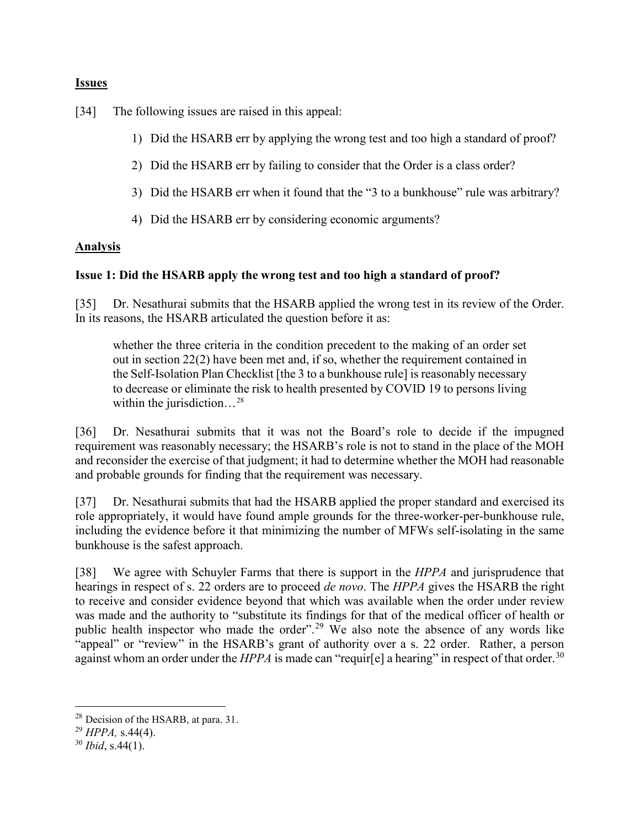### **Issues**

[34] The following issues are raised in this appeal:

- 1) Did the HSARB err by applying the wrong test and too high a standard of proof?
- 2) Did the HSARB err by failing to consider that the Order is a class order?
- 3) Did the HSARB err when it found that the "3 to a bunkhouse" rule was arbitrary?
- 4) Did the HSARB err by considering economic arguments?

## **Analysis**

### **Issue 1: Did the HSARB apply the wrong test and too high a standard of proof?**

[35] Dr. Nesathurai submits that the HSARB applied the wrong test in its review of the Order. In its reasons, the HSARB articulated the question before it as:

whether the three criteria in the condition precedent to the making of an order set out in section 22(2) have been met and, if so, whether the requirement contained in the Self-Isolation Plan Checklist [the 3 to a bunkhouse rule] is reasonably necessary to decrease or eliminate the risk to health presented by COVID 19 to persons living within the jurisdiction...<sup>28</sup>

[36] Dr. Nesathurai submits that it was not the Board's role to decide if the impugned requirement was reasonably necessary; the HSARB's role is not to stand in the place of the MOH and reconsider the exercise of that judgment; it had to determine whether the MOH had reasonable and probable grounds for finding that the requirement was necessary.

[37] Dr. Nesathurai submits that had the HSARB applied the proper standard and exercised its role appropriately, it would have found ample grounds for the three-worker-per-bunkhouse rule, including the evidence before it that minimizing the number of MFWs self-isolating in the same bunkhouse is the safest approach.

[38] We agree with Schuyler Farms that there is support in the *HPPA* and jurisprudence that hearings in respect of s. 22 orders are to proceed *de novo*. The *HPPA* gives the HSARB the right to receive and consider evidence beyond that which was available when the order under review was made and the authority to "substitute its findings for that of the medical officer of health or public health inspector who made the order".<sup>29</sup> We also note the absence of any words like "appeal" or "review" in the HSARB's grant of authority over a s. 22 order. Rather, a person against whom an order under the *HPPA* is made can "requir[e] a hearing" in respect of that order.<sup>30</sup>

 <sup>28</sup> Decision of the HSARB, at para. 31.

<sup>29</sup> *HPPA,* s.44(4).

<sup>30</sup> *Ibid*, s.44(1).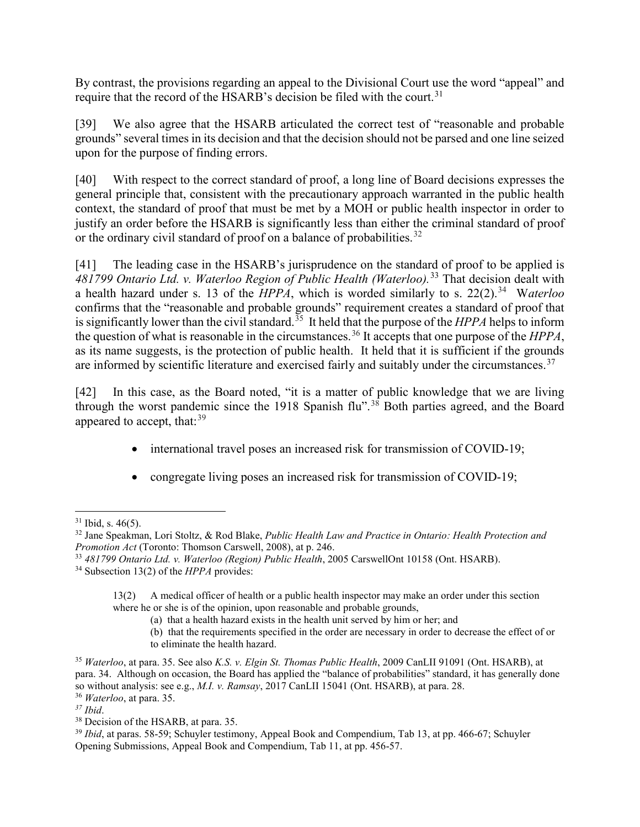By contrast, the provisions regarding an appeal to the Divisional Court use the word "appeal" and require that the record of the HSARB's decision be filed with the court.<sup>31</sup>

[39] We also agree that the HSARB articulated the correct test of "reasonable and probable grounds" several times in its decision and that the decision should not be parsed and one line seized upon for the purpose of finding errors.

[40] With respect to the correct standard of proof, a long line of Board decisions expresses the general principle that, consistent with the precautionary approach warranted in the public health context, the standard of proof that must be met by a MOH or public health inspector in order to justify an order before the HSARB is significantly less than either the criminal standard of proof or the ordinary civil standard of proof on a balance of probabilities.<sup>32</sup>

[41] The leading case in the HSARB's jurisprudence on the standard of proof to be applied is *481799 Ontario Ltd. v. Waterloo Region of Public Health (Waterloo).* <sup>33</sup> That decision dealt with a health hazard under s. 13 of the *HPPA*, which is worded similarly to s. 22(2). <sup>34</sup> W*aterloo* confirms that the "reasonable and probable grounds" requirement creates a standard of proof that is significantly lower than the civil standard.<sup>35</sup> It held that the purpose of the *HPPA* helps to inform the question of what is reasonable in the circumstances.<sup>36</sup> It accepts that one purpose of the *HPPA*, as its name suggests, is the protection of public health. It held that it is sufficient if the grounds are informed by scientific literature and exercised fairly and suitably under the circumstances.<sup>37</sup>

[42] In this case, as the Board noted, "it is a matter of public knowledge that we are living through the worst pandemic since the 1918 Spanish flu".<sup>38</sup> Both parties agreed, and the Board appeared to accept, that: $^{39}$ 

- international travel poses an increased risk for transmission of COVID-19;
- congregate living poses an increased risk for transmission of COVID-19;

 $31$  Ibid, s. 46(5).

<sup>32</sup> Jane Speakman, Lori Stoltz, & Rod Blake, *Public Health Law and Practice in Ontario: Health Protection and Promotion Act* (Toronto: Thomson Carswell, 2008), at p. 246.

<sup>33</sup> *481799 Ontario Ltd. v. Waterloo (Region) Public Health*, 2005 CarswellOnt 10158 (Ont. HSARB). 34 Subsection 13(2) of the *HPPA* provides:

<sup>13(2)</sup> A medical officer of health or a public health inspector may make an order under this section where he or she is of the opinion, upon reasonable and probable grounds,

<sup>(</sup>a) that a health hazard exists in the health unit served by him or her; and

<sup>(</sup>b) that the requirements specified in the order are necessary in order to decrease the effect of or to eliminate the health hazard.

<sup>35</sup> *Waterloo*, at para. 35. See also *K.S. v. Elgin St. Thomas Public Health*, 2009 CanLII 91091 (Ont. HSARB), at para. 34. Although on occasion, the Board has applied the "balance of probabilities" standard, it has generally done so without analysis: see e.g., *M.I. v. Ramsay*, 2017 CanLII 15041 (Ont. HSARB), at para. 28.

<sup>36</sup> *Waterloo*, at para. 35.

*<sup>37</sup> Ibid*.

<sup>38</sup> Decision of the HSARB, at para. 35.

<sup>&</sup>lt;sup>39</sup> *Ibid*, at paras. 58-59; Schuyler testimony, Appeal Book and Compendium, Tab 13, at pp. 466-67; Schuyler Opening Submissions, Appeal Book and Compendium, Tab 11, at pp. 456-57.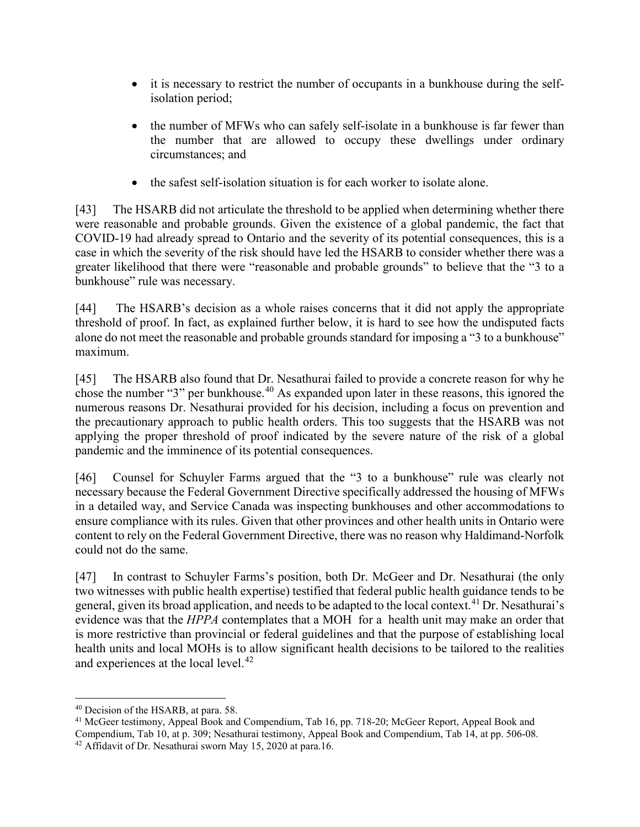- it is necessary to restrict the number of occupants in a bunkhouse during the selfisolation period;
- the number of MFWs who can safely self-isolate in a bunkhouse is far fewer than the number that are allowed to occupy these dwellings under ordinary circumstances; and
- the safest self-isolation situation is for each worker to isolate alone.

[43] The HSARB did not articulate the threshold to be applied when determining whether there were reasonable and probable grounds. Given the existence of a global pandemic, the fact that COVID-19 had already spread to Ontario and the severity of its potential consequences, this is a case in which the severity of the risk should have led the HSARB to consider whether there was a greater likelihood that there were "reasonable and probable grounds" to believe that the "3 to a bunkhouse" rule was necessary.

[44] The HSARB's decision as a whole raises concerns that it did not apply the appropriate threshold of proof. In fact, as explained further below, it is hard to see how the undisputed facts alone do not meet the reasonable and probable grounds standard for imposing a "3 to a bunkhouse" maximum.

[45] The HSARB also found that Dr. Nesathurai failed to provide a concrete reason for why he chose the number "3" per bunkhouse.<sup>40</sup> As expanded upon later in these reasons, this ignored the numerous reasons Dr. Nesathurai provided for his decision, including a focus on prevention and the precautionary approach to public health orders. This too suggests that the HSARB was not applying the proper threshold of proof indicated by the severe nature of the risk of a global pandemic and the imminence of its potential consequences.

[46] Counsel for Schuyler Farms argued that the "3 to a bunkhouse" rule was clearly not necessary because the Federal Government Directive specifically addressed the housing of MFWs in a detailed way, and Service Canada was inspecting bunkhouses and other accommodations to ensure compliance with its rules. Given that other provinces and other health units in Ontario were content to rely on the Federal Government Directive, there was no reason why Haldimand-Norfolk could not do the same.

[47] In contrast to Schuyler Farms's position, both Dr. McGeer and Dr. Nesathurai (the only two witnesses with public health expertise) testified that federal public health guidance tends to be general, given its broad application, and needs to be adapted to the local context.<sup>41</sup> Dr. Nesathurai's evidence was that the *HPPA* contemplates that a MOH for a health unit may make an order that is more restrictive than provincial or federal guidelines and that the purpose of establishing local health units and local MOHs is to allow significant health decisions to be tailored to the realities and experiences at the local level.<sup>42</sup>

 <sup>40</sup> Decision of the HSARB, at para. 58.

<sup>41</sup> McGeer testimony, Appeal Book and Compendium, Tab 16, pp. 718-20; McGeer Report, Appeal Book and Compendium, Tab 10, at p. 309; Nesathurai testimony, Appeal Book and Compendium, Tab 14, at pp. 506-08. <sup>42</sup> Affidavit of Dr. Nesathurai sworn May 15, 2020 at para.16.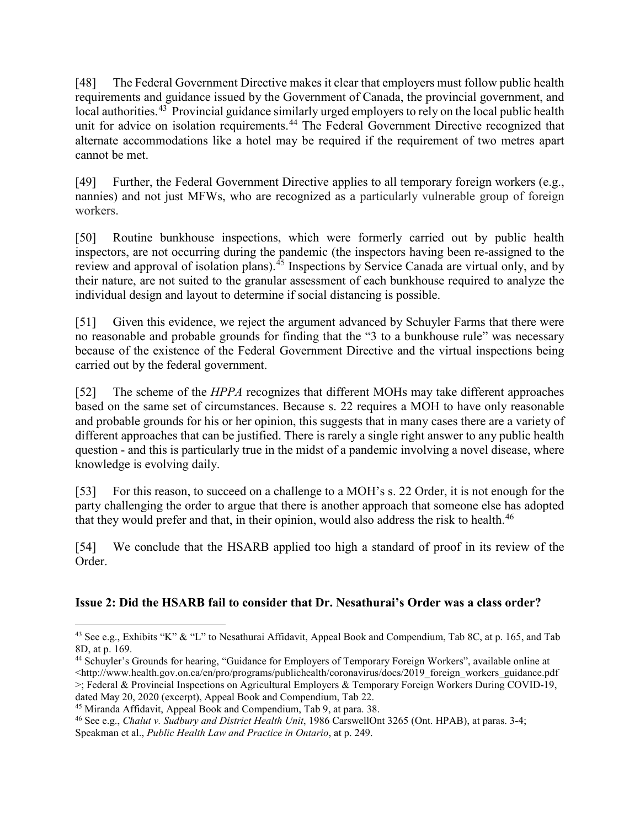[48] The Federal Government Directive makes it clear that employers must follow public health requirements and guidance issued by the Government of Canada, the provincial government, and local authorities.<sup>43</sup> Provincial guidance similarly urged employers to rely on the local public health unit for advice on isolation requirements.<sup>44</sup> The Federal Government Directive recognized that alternate accommodations like a hotel may be required if the requirement of two metres apart cannot be met.

[49] Further, the Federal Government Directive applies to all temporary foreign workers (e.g., nannies) and not just MFWs, who are recognized as a particularly vulnerable group of foreign workers.

[50] Routine bunkhouse inspections, which were formerly carried out by public health inspectors, are not occurring during the pandemic (the inspectors having been re-assigned to the review and approval of isolation plans).<sup>45</sup> Inspections by Service Canada are virtual only, and by their nature, are not suited to the granular assessment of each bunkhouse required to analyze the individual design and layout to determine if social distancing is possible.

[51] Given this evidence, we reject the argument advanced by Schuyler Farms that there were no reasonable and probable grounds for finding that the "3 to a bunkhouse rule" was necessary because of the existence of the Federal Government Directive and the virtual inspections being carried out by the federal government.

[52] The scheme of the *HPPA* recognizes that different MOHs may take different approaches based on the same set of circumstances. Because s. 22 requires a MOH to have only reasonable and probable grounds for his or her opinion, this suggests that in many cases there are a variety of different approaches that can be justified. There is rarely a single right answer to any public health question - and this is particularly true in the midst of a pandemic involving a novel disease, where knowledge is evolving daily.

[53] For this reason, to succeed on a challenge to a MOH's s. 22 Order, it is not enough for the party challenging the order to argue that there is another approach that someone else has adopted that they would prefer and that, in their opinion, would also address the risk to health.<sup>46</sup>

[54] We conclude that the HSARB applied too high a standard of proof in its review of the Order.

# **Issue 2: Did the HSARB fail to consider that Dr. Nesathurai's Order was a class order?**

<sup>&</sup>lt;sup>43</sup> See e.g., Exhibits "K" & "L" to Nesathurai Affidavit, Appeal Book and Compendium, Tab 8C, at p. 165, and Tab 8D, at p. 169.

<sup>44</sup> Schuyler's Grounds for hearing, "Guidance for Employers of Temporary Foreign Workers", available online at  $\langle$ http://www.health.gov.on.ca/en/pro/programs/publichealth/coronavirus/docs/2019\_foreign\_workers\_guidance.pdf >; Federal & Provincial Inspections on Agricultural Employers & Temporary Foreign Workers During COVID-19, dated May 20, 2020 (excerpt), Appeal Book and Compendium, Tab 22.

<sup>45</sup> Miranda Affidavit, Appeal Book and Compendium, Tab 9, at para. 38.

<sup>46</sup> See e.g., *Chalut v. Sudbury and District Health Unit*, 1986 CarswellOnt 3265 (Ont. HPAB), at paras. 3-4; Speakman et al., *Public Health Law and Practice in Ontario*, at p. 249.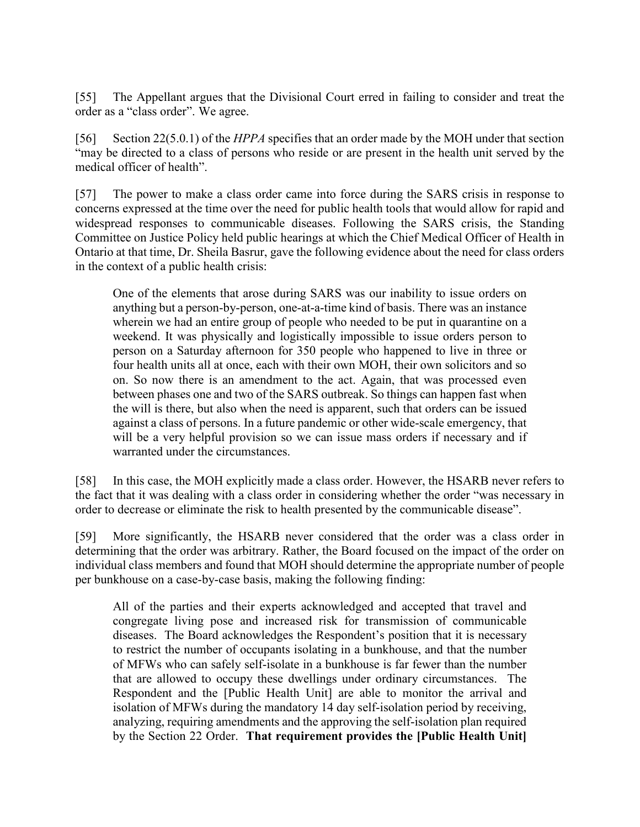[55] The Appellant argues that the Divisional Court erred in failing to consider and treat the order as a "class order". We agree.

[56] Section 22(5.0.1) of the *HPPA* specifies that an order made by the MOH under that section "may be directed to a class of persons who reside or are present in the health unit served by the medical officer of health".

[57] The power to make a class order came into force during the SARS crisis in response to concerns expressed at the time over the need for public health tools that would allow for rapid and widespread responses to communicable diseases. Following the SARS crisis, the Standing Committee on Justice Policy held public hearings at which the Chief Medical Officer of Health in Ontario at that time, Dr. Sheila Basrur, gave the following evidence about the need for class orders in the context of a public health crisis:

One of the elements that arose during SARS was our inability to issue orders on anything but a person-by-person, one-at-a-time kind of basis. There was an instance wherein we had an entire group of people who needed to be put in quarantine on a weekend. It was physically and logistically impossible to issue orders person to person on a Saturday afternoon for 350 people who happened to live in three or four health units all at once, each with their own MOH, their own solicitors and so on. So now there is an amendment to the act. Again, that was processed even between phases one and two of the SARS outbreak. So things can happen fast when the will is there, but also when the need is apparent, such that orders can be issued against a class of persons. In a future pandemic or other wide-scale emergency, that will be a very helpful provision so we can issue mass orders if necessary and if warranted under the circumstances.

[58] In this case, the MOH explicitly made a class order. However, the HSARB never refers to the fact that it was dealing with a class order in considering whether the order "was necessary in order to decrease or eliminate the risk to health presented by the communicable disease".

[59] More significantly, the HSARB never considered that the order was a class order in determining that the order was arbitrary. Rather, the Board focused on the impact of the order on individual class members and found that MOH should determine the appropriate number of people per bunkhouse on a case-by-case basis, making the following finding:

All of the parties and their experts acknowledged and accepted that travel and congregate living pose and increased risk for transmission of communicable diseases. The Board acknowledges the Respondent's position that it is necessary to restrict the number of occupants isolating in a bunkhouse, and that the number of MFWs who can safely self-isolate in a bunkhouse is far fewer than the number that are allowed to occupy these dwellings under ordinary circumstances. The Respondent and the [Public Health Unit] are able to monitor the arrival and isolation of MFWs during the mandatory 14 day self-isolation period by receiving, analyzing, requiring amendments and the approving the self-isolation plan required by the Section 22 Order. **That requirement provides the [Public Health Unit]**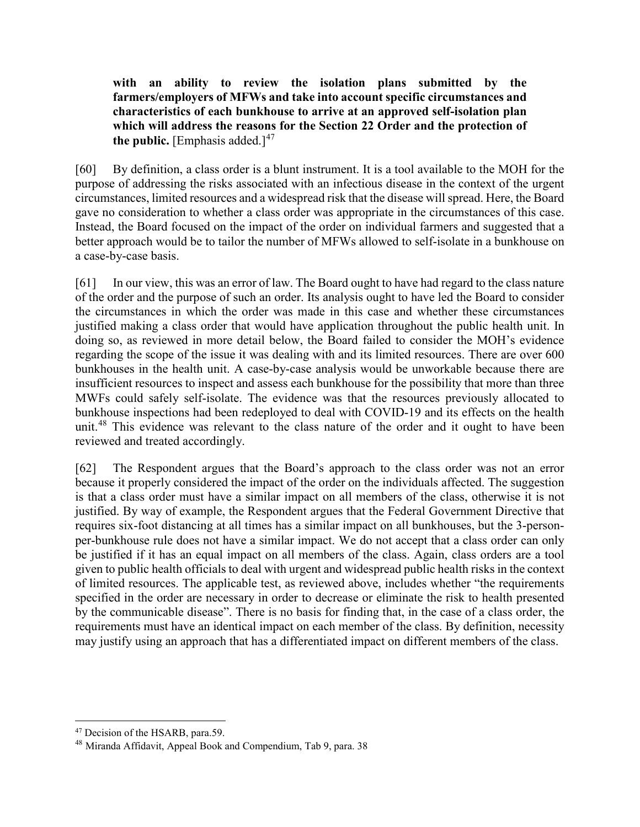**with an ability to review the isolation plans submitted by the farmers/employers of MFWs and take into account specific circumstances and characteristics of each bunkhouse to arrive at an approved self-isolation plan which will address the reasons for the Section 22 Order and the protection of the public.** [Emphasis added.] $47$ 

[60] By definition, a class order is a blunt instrument. It is a tool available to the MOH for the purpose of addressing the risks associated with an infectious disease in the context of the urgent circumstances, limited resources and a widespread risk that the disease will spread. Here, the Board gave no consideration to whether a class order was appropriate in the circumstances of this case. Instead, the Board focused on the impact of the order on individual farmers and suggested that a better approach would be to tailor the number of MFWs allowed to self-isolate in a bunkhouse on a case-by-case basis.

[61] In our view, this was an error of law. The Board ought to have had regard to the class nature of the order and the purpose of such an order. Its analysis ought to have led the Board to consider the circumstances in which the order was made in this case and whether these circumstances justified making a class order that would have application throughout the public health unit. In doing so, as reviewed in more detail below, the Board failed to consider the MOH's evidence regarding the scope of the issue it was dealing with and its limited resources. There are over 600 bunkhouses in the health unit. A case-by-case analysis would be unworkable because there are insufficient resources to inspect and assess each bunkhouse for the possibility that more than three MWFs could safely self-isolate. The evidence was that the resources previously allocated to bunkhouse inspections had been redeployed to deal with COVID-19 and its effects on the health unit.<sup>48</sup> This evidence was relevant to the class nature of the order and it ought to have been reviewed and treated accordingly.

[62] The Respondent argues that the Board's approach to the class order was not an error because it properly considered the impact of the order on the individuals affected. The suggestion is that a class order must have a similar impact on all members of the class, otherwise it is not justified. By way of example, the Respondent argues that the Federal Government Directive that requires six-foot distancing at all times has a similar impact on all bunkhouses, but the 3-personper-bunkhouse rule does not have a similar impact. We do not accept that a class order can only be justified if it has an equal impact on all members of the class. Again, class orders are a tool given to public health officials to deal with urgent and widespread public health risks in the context of limited resources. The applicable test, as reviewed above, includes whether "the requirements specified in the order are necessary in order to decrease or eliminate the risk to health presented by the communicable disease". There is no basis for finding that, in the case of a class order, the requirements must have an identical impact on each member of the class. By definition, necessity may justify using an approach that has a differentiated impact on different members of the class.

<sup>&</sup>lt;sup>47</sup> Decision of the HSARB, para.59.

<sup>48</sup> Miranda Affidavit, Appeal Book and Compendium, Tab 9, para. 38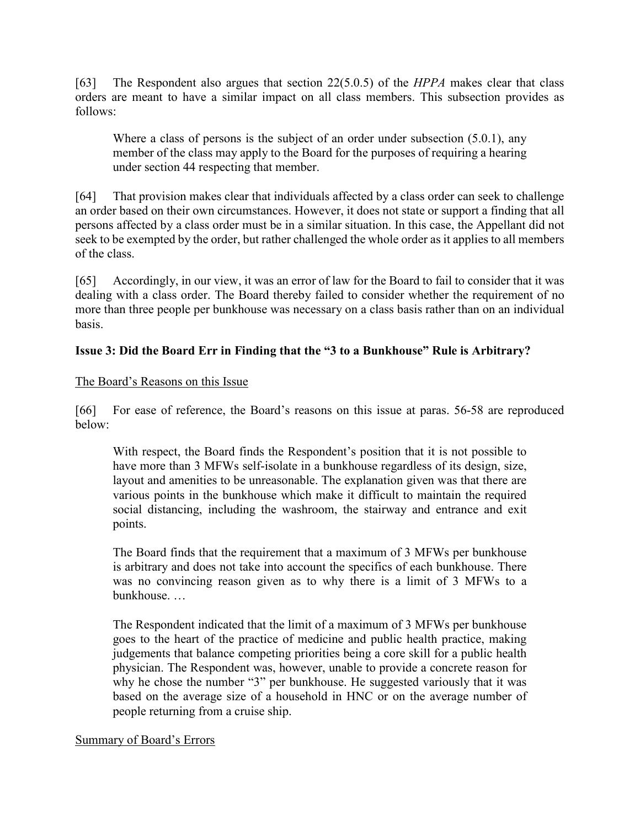[63] The Respondent also argues that section 22(5.0.5) of the *HPPA* makes clear that class orders are meant to have a similar impact on all class members. This subsection provides as follows:

Where a class of persons is the subject of an order under subsection (5.0.1), any member of the class may apply to the Board for the purposes of requiring a hearing under section 44 respecting that member.

[64] That provision makes clear that individuals affected by a class order can seek to challenge an order based on their own circumstances. However, it does not state or support a finding that all persons affected by a class order must be in a similar situation. In this case, the Appellant did not seek to be exempted by the order, but rather challenged the whole order as it applies to all members of the class.

[65] Accordingly, in our view, it was an error of law for the Board to fail to consider that it was dealing with a class order. The Board thereby failed to consider whether the requirement of no more than three people per bunkhouse was necessary on a class basis rather than on an individual basis.

# **Issue 3: Did the Board Err in Finding that the "3 to a Bunkhouse" Rule is Arbitrary?**

### The Board's Reasons on this Issue

[66] For ease of reference, the Board's reasons on this issue at paras. 56-58 are reproduced below:

With respect, the Board finds the Respondent's position that it is not possible to have more than 3 MFWs self-isolate in a bunkhouse regardless of its design, size, layout and amenities to be unreasonable. The explanation given was that there are various points in the bunkhouse which make it difficult to maintain the required social distancing, including the washroom, the stairway and entrance and exit points.

The Board finds that the requirement that a maximum of 3 MFWs per bunkhouse is arbitrary and does not take into account the specifics of each bunkhouse. There was no convincing reason given as to why there is a limit of 3 MFWs to a bunkhouse. …

The Respondent indicated that the limit of a maximum of 3 MFWs per bunkhouse goes to the heart of the practice of medicine and public health practice, making judgements that balance competing priorities being a core skill for a public health physician. The Respondent was, however, unable to provide a concrete reason for why he chose the number "3" per bunkhouse. He suggested variously that it was based on the average size of a household in HNC or on the average number of people returning from a cruise ship.

#### Summary of Board's Errors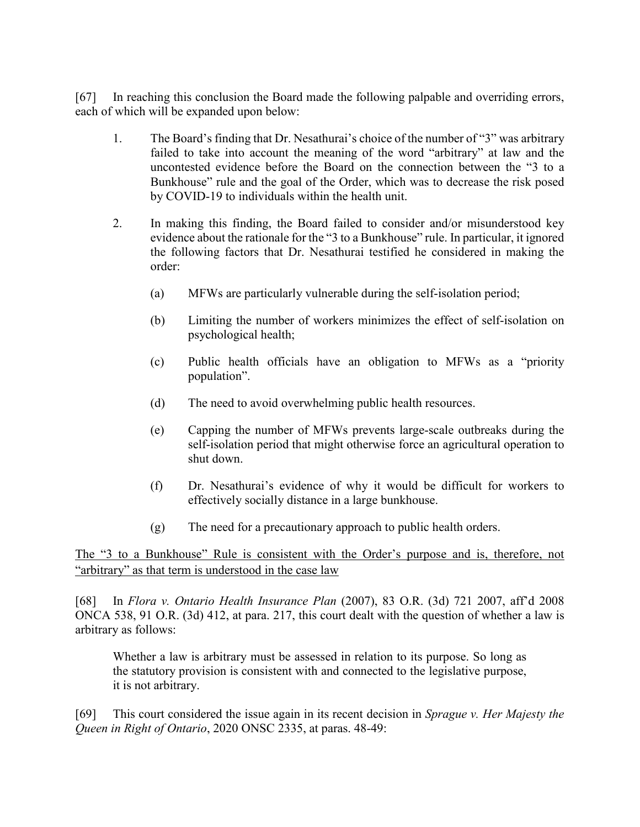[67] In reaching this conclusion the Board made the following palpable and overriding errors, each of which will be expanded upon below:

- 1. The Board's finding that Dr. Nesathurai's choice of the number of "3" was arbitrary failed to take into account the meaning of the word "arbitrary" at law and the uncontested evidence before the Board on the connection between the "3 to a Bunkhouse" rule and the goal of the Order, which was to decrease the risk posed by COVID-19 to individuals within the health unit.
- 2. In making this finding, the Board failed to consider and/or misunderstood key evidence about the rationale for the "3 to a Bunkhouse" rule. In particular, it ignored the following factors that Dr. Nesathurai testified he considered in making the order:
	- (a) MFWs are particularly vulnerable during the self-isolation period;
	- (b) Limiting the number of workers minimizes the effect of self-isolation on psychological health;
	- (c) Public health officials have an obligation to MFWs as a "priority population".
	- (d) The need to avoid overwhelming public health resources.
	- (e) Capping the number of MFWs prevents large-scale outbreaks during the self-isolation period that might otherwise force an agricultural operation to shut down.
	- (f) Dr. Nesathurai's evidence of why it would be difficult for workers to effectively socially distance in a large bunkhouse.
	- (g) The need for a precautionary approach to public health orders.

The "3 to a Bunkhouse" Rule is consistent with the Order's purpose and is, therefore, not "arbitrary" as that term is understood in the case law

[68] In *Flora v. Ontario Health Insurance Plan* (2007), 83 O.R. (3d) 721 2007, aff'd 2008 ONCA 538, 91 O.R. (3d) 412, at para. 217, this court dealt with the question of whether a law is arbitrary as follows:

Whether a law is arbitrary must be assessed in relation to its purpose. So long as the statutory provision is consistent with and connected to the legislative purpose, it is not arbitrary.

[69] This court considered the issue again in its recent decision in *Sprague v. Her Majesty the Queen in Right of Ontario*, 2020 ONSC 2335, at paras. 48-49: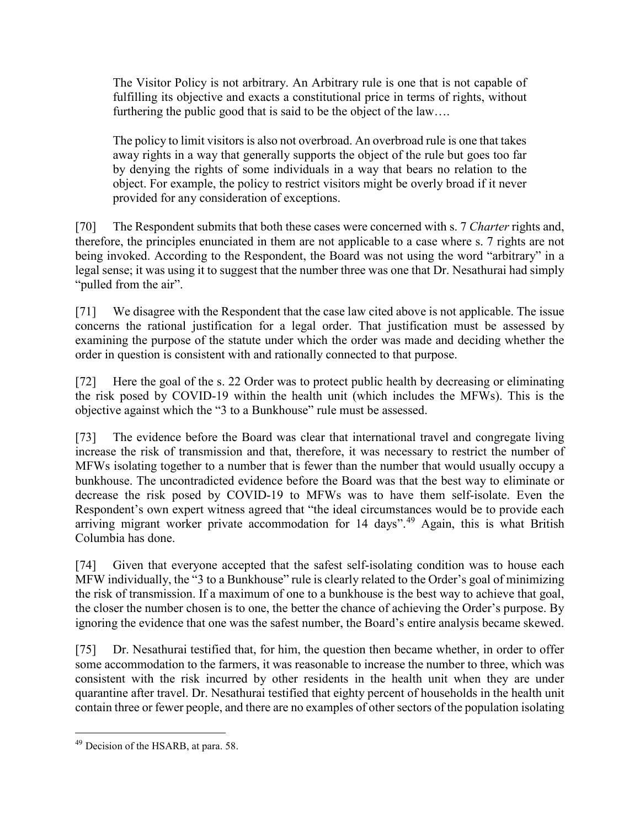The Visitor Policy is not arbitrary. An Arbitrary rule is one that is not capable of fulfilling its objective and exacts a constitutional price in terms of rights, without furthering the public good that is said to be the object of the law….

The policy to limit visitors is also not overbroad. An overbroad rule is one that takes away rights in a way that generally supports the object of the rule but goes too far by denying the rights of some individuals in a way that bears no relation to the object. For example, the policy to restrict visitors might be overly broad if it never provided for any consideration of exceptions.

[70] The Respondent submits that both these cases were concerned with s. 7 *Charter* rights and, therefore, the principles enunciated in them are not applicable to a case where s. 7 rights are not being invoked. According to the Respondent, the Board was not using the word "arbitrary" in a legal sense; it was using it to suggest that the number three was one that Dr. Nesathurai had simply "pulled from the air".

[71] We disagree with the Respondent that the case law cited above is not applicable. The issue concerns the rational justification for a legal order. That justification must be assessed by examining the purpose of the statute under which the order was made and deciding whether the order in question is consistent with and rationally connected to that purpose.

[72] Here the goal of the s. 22 Order was to protect public health by decreasing or eliminating the risk posed by COVID-19 within the health unit (which includes the MFWs). This is the objective against which the "3 to a Bunkhouse" rule must be assessed.

[73] The evidence before the Board was clear that international travel and congregate living increase the risk of transmission and that, therefore, it was necessary to restrict the number of MFWs isolating together to a number that is fewer than the number that would usually occupy a bunkhouse. The uncontradicted evidence before the Board was that the best way to eliminate or decrease the risk posed by COVID-19 to MFWs was to have them self-isolate. Even the Respondent's own expert witness agreed that "the ideal circumstances would be to provide each arriving migrant worker private accommodation for 14 days".<sup>49</sup> Again, this is what British Columbia has done.

[74] Given that everyone accepted that the safest self-isolating condition was to house each MFW individually, the "3 to a Bunkhouse" rule is clearly related to the Order's goal of minimizing the risk of transmission. If a maximum of one to a bunkhouse is the best way to achieve that goal, the closer the number chosen is to one, the better the chance of achieving the Order's purpose. By ignoring the evidence that one was the safest number, the Board's entire analysis became skewed.

[75] Dr. Nesathurai testified that, for him, the question then became whether, in order to offer some accommodation to the farmers, it was reasonable to increase the number to three, which was consistent with the risk incurred by other residents in the health unit when they are under quarantine after travel. Dr. Nesathurai testified that eighty percent of households in the health unit contain three or fewer people, and there are no examples of other sectors of the population isolating

<sup>&</sup>lt;sup>49</sup> Decision of the HSARB, at para. 58.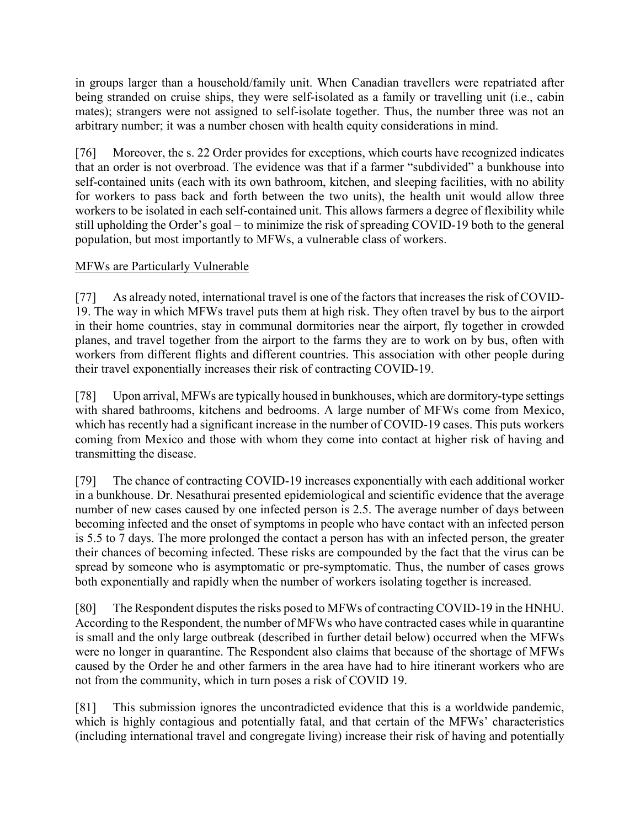in groups larger than a household/family unit. When Canadian travellers were repatriated after being stranded on cruise ships, they were self-isolated as a family or travelling unit (i.e., cabin mates); strangers were not assigned to self-isolate together. Thus, the number three was not an arbitrary number; it was a number chosen with health equity considerations in mind.

[76] Moreover, the s. 22 Order provides for exceptions, which courts have recognized indicates that an order is not overbroad. The evidence was that if a farmer "subdivided" a bunkhouse into self-contained units (each with its own bathroom, kitchen, and sleeping facilities, with no ability for workers to pass back and forth between the two units), the health unit would allow three workers to be isolated in each self-contained unit. This allows farmers a degree of flexibility while still upholding the Order's goal – to minimize the risk of spreading COVID-19 both to the general population, but most importantly to MFWs, a vulnerable class of workers.

# MFWs are Particularly Vulnerable

[77] As already noted, international travel is one of the factors that increases the risk of COVID-19. The way in which MFWs travel puts them at high risk. They often travel by bus to the airport in their home countries, stay in communal dormitories near the airport, fly together in crowded planes, and travel together from the airport to the farms they are to work on by bus, often with workers from different flights and different countries. This association with other people during their travel exponentially increases their risk of contracting COVID-19.

[78] Upon arrival, MFWs are typically housed in bunkhouses, which are dormitory-type settings with shared bathrooms, kitchens and bedrooms. A large number of MFWs come from Mexico, which has recently had a significant increase in the number of COVID-19 cases. This puts workers coming from Mexico and those with whom they come into contact at higher risk of having and transmitting the disease.

[79] The chance of contracting COVID-19 increases exponentially with each additional worker in a bunkhouse. Dr. Nesathurai presented epidemiological and scientific evidence that the average number of new cases caused by one infected person is 2.5. The average number of days between becoming infected and the onset of symptoms in people who have contact with an infected person is 5.5 to 7 days. The more prolonged the contact a person has with an infected person, the greater their chances of becoming infected. These risks are compounded by the fact that the virus can be spread by someone who is asymptomatic or pre-symptomatic. Thus, the number of cases grows both exponentially and rapidly when the number of workers isolating together is increased.

[80] The Respondent disputes the risks posed to MFWs of contracting COVID-19 in the HNHU. According to the Respondent, the number of MFWs who have contracted cases while in quarantine is small and the only large outbreak (described in further detail below) occurred when the MFWs were no longer in quarantine. The Respondent also claims that because of the shortage of MFWs caused by the Order he and other farmers in the area have had to hire itinerant workers who are not from the community, which in turn poses a risk of COVID 19.

[81] This submission ignores the uncontradicted evidence that this is a worldwide pandemic, which is highly contagious and potentially fatal, and that certain of the MFWs' characteristics (including international travel and congregate living) increase their risk of having and potentially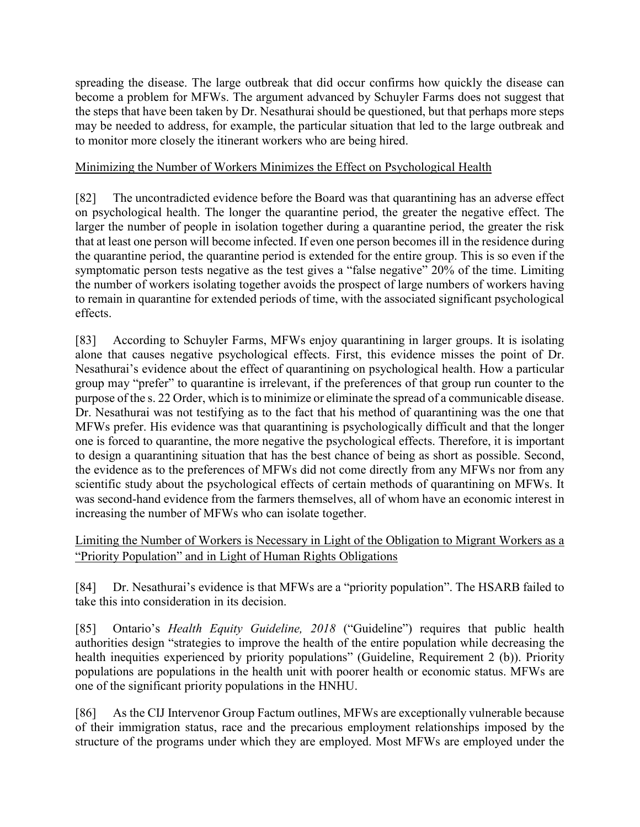spreading the disease. The large outbreak that did occur confirms how quickly the disease can become a problem for MFWs. The argument advanced by Schuyler Farms does not suggest that the steps that have been taken by Dr. Nesathurai should be questioned, but that perhaps more steps may be needed to address, for example, the particular situation that led to the large outbreak and to monitor more closely the itinerant workers who are being hired.

# Minimizing the Number of Workers Minimizes the Effect on Psychological Health

[82] The uncontradicted evidence before the Board was that quarantining has an adverse effect on psychological health. The longer the quarantine period, the greater the negative effect. The larger the number of people in isolation together during a quarantine period, the greater the risk that at least one person will become infected. If even one person becomes ill in the residence during the quarantine period, the quarantine period is extended for the entire group. This is so even if the symptomatic person tests negative as the test gives a "false negative" 20% of the time. Limiting the number of workers isolating together avoids the prospect of large numbers of workers having to remain in quarantine for extended periods of time, with the associated significant psychological effects.

[83] According to Schuyler Farms, MFWs enjoy quarantining in larger groups. It is isolating alone that causes negative psychological effects. First, this evidence misses the point of Dr. Nesathurai's evidence about the effect of quarantining on psychological health. How a particular group may "prefer" to quarantine is irrelevant, if the preferences of that group run counter to the purpose of the s. 22 Order, which is to minimize or eliminate the spread of a communicable disease. Dr. Nesathurai was not testifying as to the fact that his method of quarantining was the one that MFWs prefer. His evidence was that quarantining is psychologically difficult and that the longer one is forced to quarantine, the more negative the psychological effects. Therefore, it is important to design a quarantining situation that has the best chance of being as short as possible. Second, the evidence as to the preferences of MFWs did not come directly from any MFWs nor from any scientific study about the psychological effects of certain methods of quarantining on MFWs. It was second-hand evidence from the farmers themselves, all of whom have an economic interest in increasing the number of MFWs who can isolate together.

Limiting the Number of Workers is Necessary in Light of the Obligation to Migrant Workers as a "Priority Population" and in Light of Human Rights Obligations

[84] Dr. Nesathurai's evidence is that MFWs are a "priority population". The HSARB failed to take this into consideration in its decision.

[85] Ontario's *Health Equity Guideline, 2018* ("Guideline") requires that public health authorities design "strategies to improve the health of the entire population while decreasing the health inequities experienced by priority populations" (Guideline, Requirement 2 (b)). Priority populations are populations in the health unit with poorer health or economic status. MFWs are one of the significant priority populations in the HNHU.

[86] As the CIJ Intervenor Group Factum outlines, MFWs are exceptionally vulnerable because of their immigration status, race and the precarious employment relationships imposed by the structure of the programs under which they are employed. Most MFWs are employed under the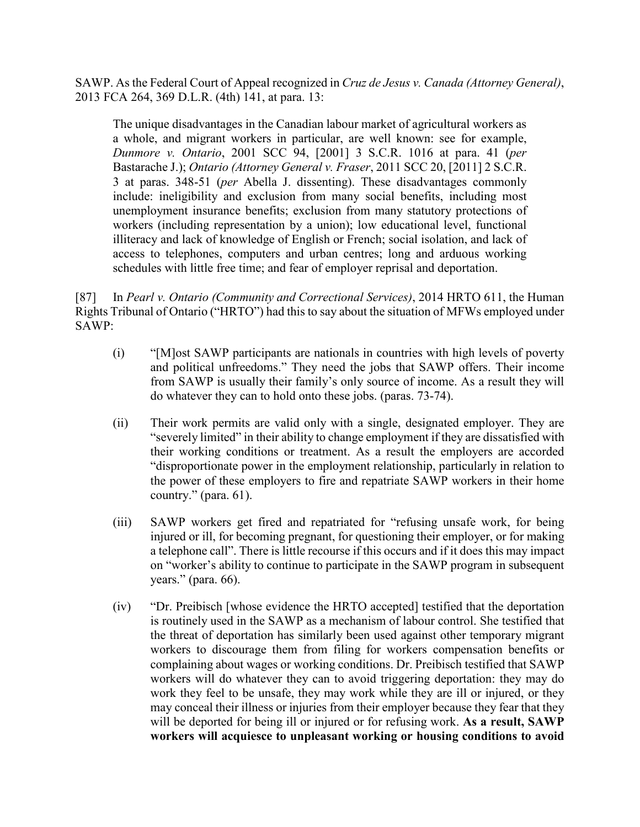SAWP. As the Federal Court of Appeal recognized in *Cruz de Jesus v. Canada (Attorney General)*, 2013 FCA 264, 369 D.L.R. (4th) 141, at para. 13:

The unique disadvantages in the Canadian labour market of agricultural workers as a whole, and migrant workers in particular, are well known: see for example, *Dunmore v. Ontario*, 2001 SCC 94, [2001] 3 S.C.R. 1016 at para. 41 (*per*  Bastarache J.); *Ontario (Attorney General v. Fraser*, 2011 SCC 20, [2011] 2 S.C.R. 3 at paras. 348-51 (*per* Abella J. dissenting). These disadvantages commonly include: ineligibility and exclusion from many social benefits, including most unemployment insurance benefits; exclusion from many statutory protections of workers (including representation by a union); low educational level, functional illiteracy and lack of knowledge of English or French; social isolation, and lack of access to telephones, computers and urban centres; long and arduous working schedules with little free time; and fear of employer reprisal and deportation.

[87] In *Pearl v. Ontario (Community and Correctional Services)*, 2014 HRTO 611, the Human Rights Tribunal of Ontario ("HRTO") had this to say about the situation of MFWs employed under SAWP:

- (i) "[M]ost SAWP participants are nationals in countries with high levels of poverty and political unfreedoms." They need the jobs that SAWP offers. Their income from SAWP is usually their family's only source of income. As a result they will do whatever they can to hold onto these jobs. (paras. 73-74).
- (ii) Their work permits are valid only with a single, designated employer. They are "severely limited" in their ability to change employment if they are dissatisfied with their working conditions or treatment. As a result the employers are accorded "disproportionate power in the employment relationship, particularly in relation to the power of these employers to fire and repatriate SAWP workers in their home country." (para. 61).
- (iii) SAWP workers get fired and repatriated for "refusing unsafe work, for being injured or ill, for becoming pregnant, for questioning their employer, or for making a telephone call". There is little recourse if this occurs and if it does this may impact on "worker's ability to continue to participate in the SAWP program in subsequent years." (para. 66).
- (iv) "Dr. Preibisch [whose evidence the HRTO accepted] testified that the deportation is routinely used in the SAWP as a mechanism of labour control. She testified that the threat of deportation has similarly been used against other temporary migrant workers to discourage them from filing for workers compensation benefits or complaining about wages or working conditions. Dr. Preibisch testified that SAWP workers will do whatever they can to avoid triggering deportation: they may do work they feel to be unsafe, they may work while they are ill or injured, or they may conceal their illness or injuries from their employer because they fear that they will be deported for being ill or injured or for refusing work. **As a result, SAWP workers will acquiesce to unpleasant working or housing conditions to avoid**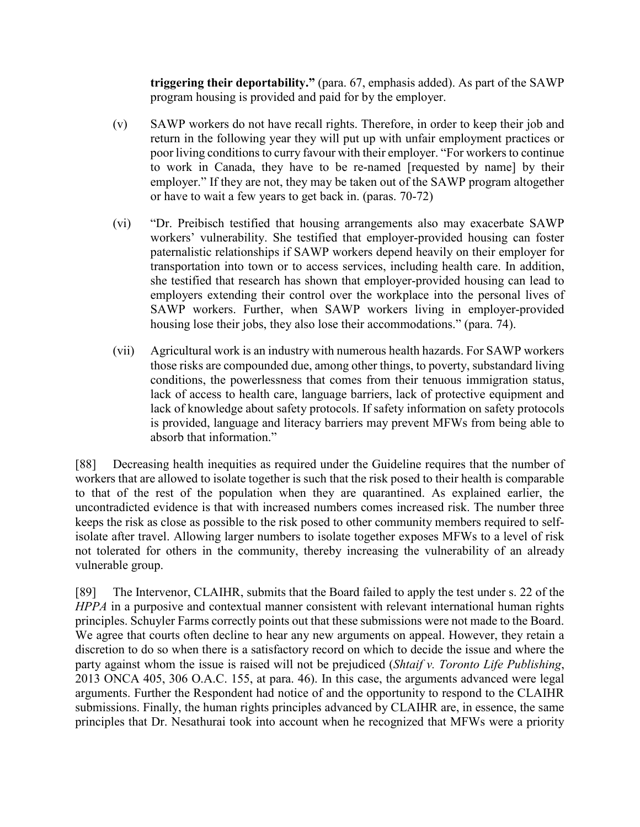**triggering their deportability."** (para. 67, emphasis added). As part of the SAWP program housing is provided and paid for by the employer.

- (v) SAWP workers do not have recall rights. Therefore, in order to keep their job and return in the following year they will put up with unfair employment practices or poor living conditions to curry favour with their employer. "For workers to continue to work in Canada, they have to be re-named [requested by name] by their employer." If they are not, they may be taken out of the SAWP program altogether or have to wait a few years to get back in. (paras. 70-72)
- (vi) "Dr. Preibisch testified that housing arrangements also may exacerbate SAWP workers' vulnerability. She testified that employer-provided housing can foster paternalistic relationships if SAWP workers depend heavily on their employer for transportation into town or to access services, including health care. In addition, she testified that research has shown that employer-provided housing can lead to employers extending their control over the workplace into the personal lives of SAWP workers. Further, when SAWP workers living in employer-provided housing lose their jobs, they also lose their accommodations." (para. 74).
- (vii) Agricultural work is an industry with numerous health hazards. For SAWP workers those risks are compounded due, among other things, to poverty, substandard living conditions, the powerlessness that comes from their tenuous immigration status, lack of access to health care, language barriers, lack of protective equipment and lack of knowledge about safety protocols. If safety information on safety protocols is provided, language and literacy barriers may prevent MFWs from being able to absorb that information."

[88] Decreasing health inequities as required under the Guideline requires that the number of workers that are allowed to isolate together is such that the risk posed to their health is comparable to that of the rest of the population when they are quarantined. As explained earlier, the uncontradicted evidence is that with increased numbers comes increased risk. The number three keeps the risk as close as possible to the risk posed to other community members required to selfisolate after travel. Allowing larger numbers to isolate together exposes MFWs to a level of risk not tolerated for others in the community, thereby increasing the vulnerability of an already vulnerable group.

[89] The Intervenor, CLAIHR, submits that the Board failed to apply the test under s. 22 of the *HPPA* in a purposive and contextual manner consistent with relevant international human rights principles. Schuyler Farms correctly points out that these submissions were not made to the Board. We agree that courts often decline to hear any new arguments on appeal. However, they retain a discretion to do so when there is a satisfactory record on which to decide the issue and where the party against whom the issue is raised will not be prejudiced (*Shtaif v. Toronto Life Publishing*, 2013 ONCA 405, 306 O.A.C. 155, at para. 46). In this case, the arguments advanced were legal arguments. Further the Respondent had notice of and the opportunity to respond to the CLAIHR submissions. Finally, the human rights principles advanced by CLAIHR are, in essence, the same principles that Dr. Nesathurai took into account when he recognized that MFWs were a priority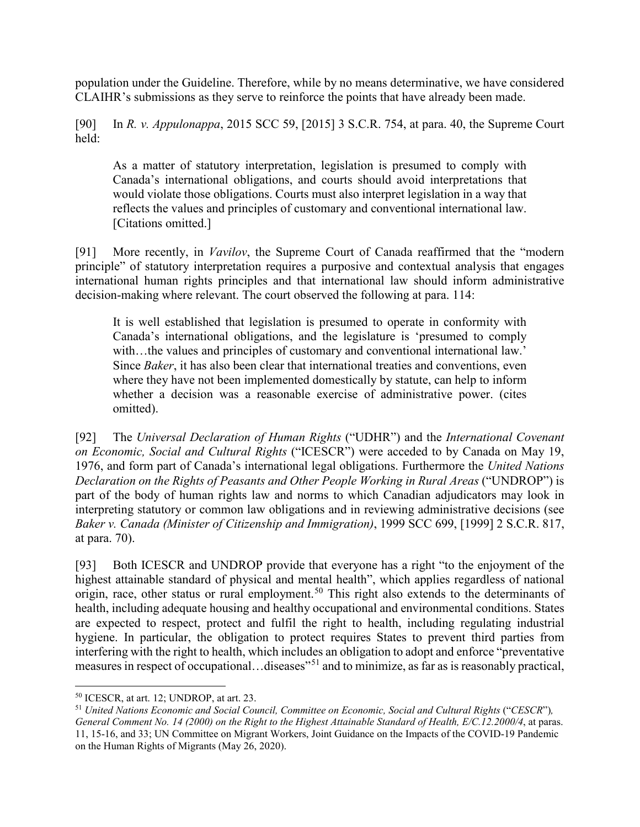population under the Guideline. Therefore, while by no means determinative, we have considered CLAIHR's submissions as they serve to reinforce the points that have already been made.

[90] In *R. v. Appulonappa*, 2015 SCC 59, [2015] 3 S.C.R. 754, at para. 40, the Supreme Court held:

As a matter of statutory interpretation, legislation is presumed to comply with Canada's international obligations, and courts should avoid interpretations that would violate those obligations. Courts must also interpret legislation in a way that reflects the values and principles of customary and conventional international law. [Citations omitted.]

[91] More recently, in *Vavilov*, the Supreme Court of Canada reaffirmed that the "modern principle" of statutory interpretation requires a purposive and contextual analysis that engages international human rights principles and that international law should inform administrative decision-making where relevant. The court observed the following at para. 114:

It is well established that legislation is presumed to operate in conformity with Canada's international obligations, and the legislature is 'presumed to comply with...the values and principles of customary and conventional international law.' Since *Baker*, it has also been clear that international treaties and conventions, even where they have not been implemented domestically by statute, can help to inform whether a decision was a reasonable exercise of administrative power. (cites omitted).

[92] The *Universal Declaration of Human Rights* ("UDHR") and the *International Covenant on Economic, Social and Cultural Rights* ("ICESCR") were acceded to by Canada on May 19, 1976, and form part of Canada's international legal obligations. Furthermore the *United Nations Declaration on the Rights of Peasants and Other People Working in Rural Areas* ("UNDROP") is part of the body of human rights law and norms to which Canadian adjudicators may look in interpreting statutory or common law obligations and in reviewing administrative decisions (see *Baker v. Canada (Minister of Citizenship and Immigration)*, 1999 SCC 699, [1999] 2 S.C.R. 817, at para. 70).

[93] Both ICESCR and UNDROP provide that everyone has a right "to the enjoyment of the highest attainable standard of physical and mental health", which applies regardless of national origin, race, other status or rural employment.<sup>50</sup> This right also extends to the determinants of health, including adequate housing and healthy occupational and environmental conditions. States are expected to respect, protect and fulfil the right to health, including regulating industrial hygiene. In particular, the obligation to protect requires States to prevent third parties from interfering with the right to health, which includes an obligation to adopt and enforce "preventative measures in respect of occupational…diseases"<sup>51</sup> and to minimize, as far as is reasonably practical,

 <sup>50</sup> ICESCR, at art. 12; UNDROP, at art. 23.

<sup>51</sup> *United Nations Economic and Social Council, Committee on Economic, Social and Cultural Rights* ("*CESCR*")*, General Comment No. 14 (2000) on the Right to the Highest Attainable Standard of Health, E/C.12.2000/4*, at paras. 11, 15-16, and 33; UN Committee on Migrant Workers, Joint Guidance on the Impacts of the COVID-19 Pandemic on the Human Rights of Migrants (May 26, 2020).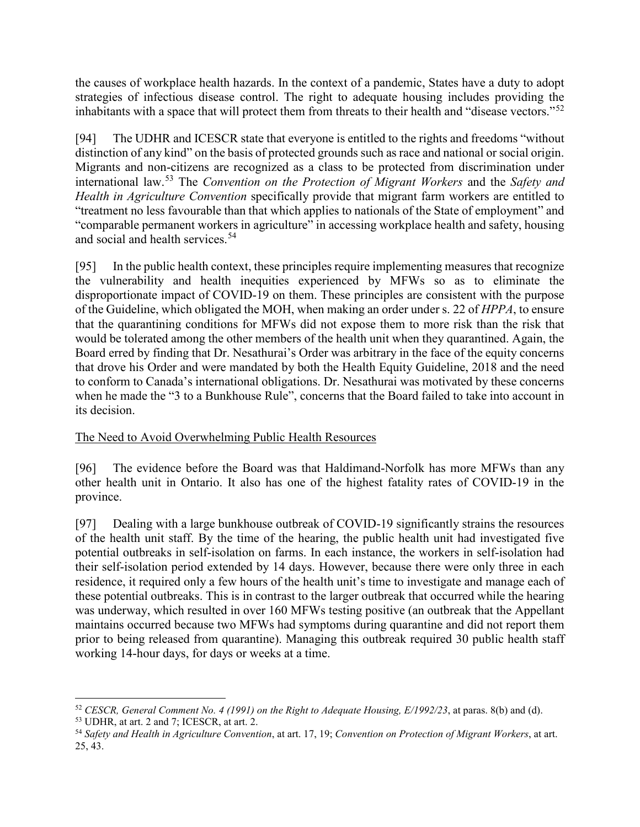the causes of workplace health hazards. In the context of a pandemic, States have a duty to adopt strategies of infectious disease control. The right to adequate housing includes providing the inhabitants with a space that will protect them from threats to their health and "disease vectors."<sup>52</sup>

[94] The UDHR and ICESCR state that everyone is entitled to the rights and freedoms "without distinction of any kind" on the basis of protected grounds such as race and national or social origin. Migrants and non-citizens are recognized as a class to be protected from discrimination under international law.<sup>53</sup> The *Convention on the Protection of Migrant Workers* and the *Safety and Health in Agriculture Convention* specifically provide that migrant farm workers are entitled to "treatment no less favourable than that which applies to nationals of the State of employment" and "comparable permanent workers in agriculture" in accessing workplace health and safety, housing and social and health services.<sup>54</sup>

[95] In the public health context, these principles require implementing measures that recognize the vulnerability and health inequities experienced by MFWs so as to eliminate the disproportionate impact of COVID-19 on them. These principles are consistent with the purpose of the Guideline, which obligated the MOH, when making an order under s. 22 of *HPPA*, to ensure that the quarantining conditions for MFWs did not expose them to more risk than the risk that would be tolerated among the other members of the health unit when they quarantined. Again, the Board erred by finding that Dr. Nesathurai's Order was arbitrary in the face of the equity concerns that drove his Order and were mandated by both the Health Equity Guideline, 2018 and the need to conform to Canada's international obligations. Dr. Nesathurai was motivated by these concerns when he made the "3 to a Bunkhouse Rule", concerns that the Board failed to take into account in its decision.

## The Need to Avoid Overwhelming Public Health Resources

[96] The evidence before the Board was that Haldimand-Norfolk has more MFWs than any other health unit in Ontario. It also has one of the highest fatality rates of COVID-19 in the province.

[97] Dealing with a large bunkhouse outbreak of COVID-19 significantly strains the resources of the health unit staff. By the time of the hearing, the public health unit had investigated five potential outbreaks in self-isolation on farms. In each instance, the workers in self-isolation had their self-isolation period extended by 14 days. However, because there were only three in each residence, it required only a few hours of the health unit's time to investigate and manage each of these potential outbreaks. This is in contrast to the larger outbreak that occurred while the hearing was underway, which resulted in over 160 MFWs testing positive (an outbreak that the Appellant maintains occurred because two MFWs had symptoms during quarantine and did not report them prior to being released from quarantine). Managing this outbreak required 30 public health staff working 14-hour days, for days or weeks at a time.

 <sup>52</sup> *CESCR, General Comment No. 4 (1991) on the Right to Adequate Housing, E/1992/23*, at paras. 8(b) and (d).

<sup>53</sup> UDHR, at art. 2 and 7; ICESCR, at art. 2.

<sup>54</sup> *Safety and Health in Agriculture Convention*, at art. 17, 19; *Convention on Protection of Migrant Workers*, at art. 25, 43.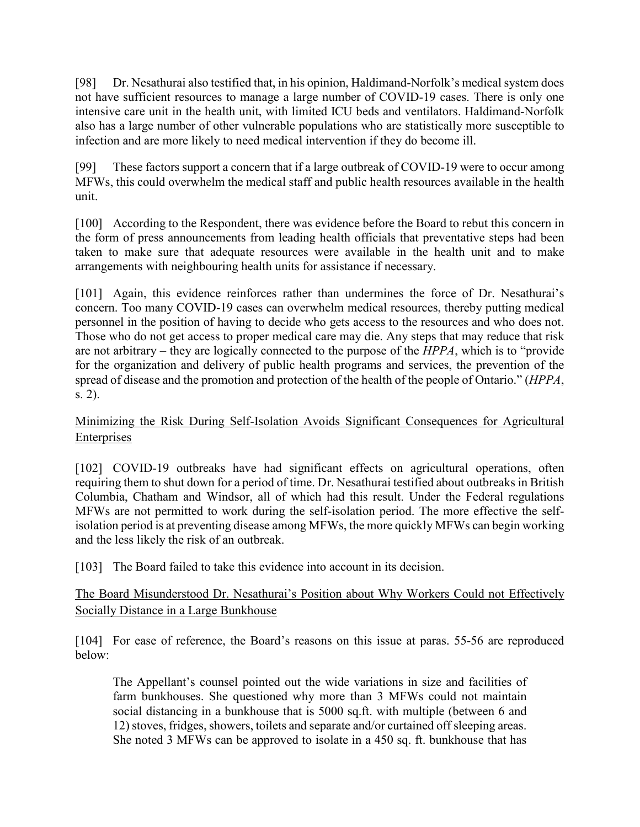[98] Dr. Nesathurai also testified that, in his opinion, Haldimand-Norfolk's medical system does not have sufficient resources to manage a large number of COVID-19 cases. There is only one intensive care unit in the health unit, with limited ICU beds and ventilators. Haldimand-Norfolk also has a large number of other vulnerable populations who are statistically more susceptible to infection and are more likely to need medical intervention if they do become ill.

[99] These factors support a concern that if a large outbreak of COVID-19 were to occur among MFWs, this could overwhelm the medical staff and public health resources available in the health unit.

[100] According to the Respondent, there was evidence before the Board to rebut this concern in the form of press announcements from leading health officials that preventative steps had been taken to make sure that adequate resources were available in the health unit and to make arrangements with neighbouring health units for assistance if necessary.

[101] Again, this evidence reinforces rather than undermines the force of Dr. Nesathurai's concern. Too many COVID-19 cases can overwhelm medical resources, thereby putting medical personnel in the position of having to decide who gets access to the resources and who does not. Those who do not get access to proper medical care may die. Any steps that may reduce that risk are not arbitrary – they are logically connected to the purpose of the *HPPA*, which is to "provide for the organization and delivery of public health programs and services, the prevention of the spread of disease and the promotion and protection of the health of the people of Ontario." (*HPPA*, s. 2).

# Minimizing the Risk During Self-Isolation Avoids Significant Consequences for Agricultural Enterprises

[102] COVID-19 outbreaks have had significant effects on agricultural operations, often requiring them to shut down for a period of time. Dr. Nesathurai testified about outbreaks in British Columbia, Chatham and Windsor, all of which had this result. Under the Federal regulations MFWs are not permitted to work during the self-isolation period. The more effective the selfisolation period is at preventing disease among MFWs, the more quickly MFWs can begin working and the less likely the risk of an outbreak.

[103] The Board failed to take this evidence into account in its decision.

# The Board Misunderstood Dr. Nesathurai's Position about Why Workers Could not Effectively Socially Distance in a Large Bunkhouse

[104] For ease of reference, the Board's reasons on this issue at paras. 55-56 are reproduced below:

The Appellant's counsel pointed out the wide variations in size and facilities of farm bunkhouses. She questioned why more than 3 MFWs could not maintain social distancing in a bunkhouse that is 5000 sq.ft. with multiple (between 6 and 12) stoves, fridges, showers, toilets and separate and/or curtained off sleeping areas. She noted 3 MFWs can be approved to isolate in a 450 sq. ft. bunkhouse that has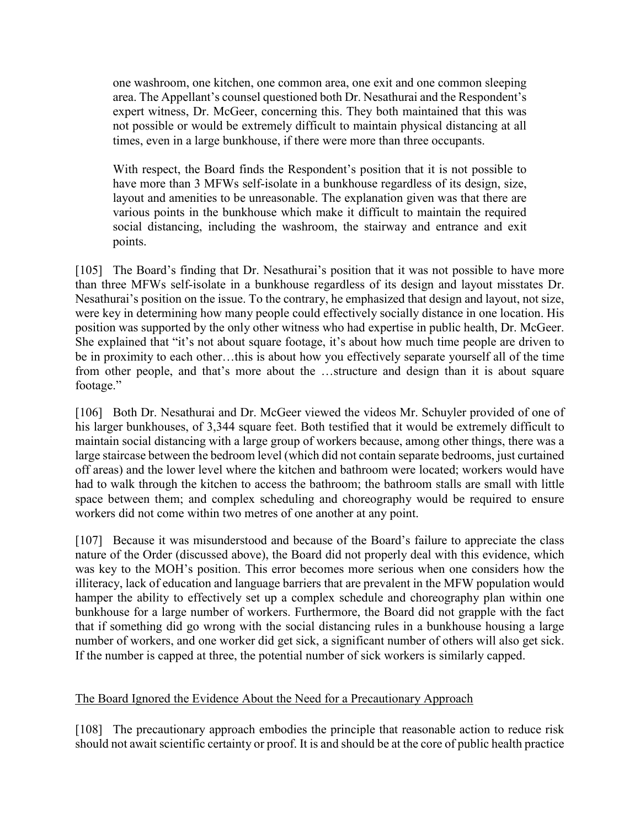one washroom, one kitchen, one common area, one exit and one common sleeping area. The Appellant's counsel questioned both Dr. Nesathurai and the Respondent's expert witness, Dr. McGeer, concerning this. They both maintained that this was not possible or would be extremely difficult to maintain physical distancing at all times, even in a large bunkhouse, if there were more than three occupants.

With respect, the Board finds the Respondent's position that it is not possible to have more than 3 MFWs self-isolate in a bunkhouse regardless of its design, size, layout and amenities to be unreasonable. The explanation given was that there are various points in the bunkhouse which make it difficult to maintain the required social distancing, including the washroom, the stairway and entrance and exit points.

[105] The Board's finding that Dr. Nesathurai's position that it was not possible to have more than three MFWs self-isolate in a bunkhouse regardless of its design and layout misstates Dr. Nesathurai's position on the issue. To the contrary, he emphasized that design and layout, not size, were key in determining how many people could effectively socially distance in one location. His position was supported by the only other witness who had expertise in public health, Dr. McGeer. She explained that "it's not about square footage, it's about how much time people are driven to be in proximity to each other…this is about how you effectively separate yourself all of the time from other people, and that's more about the …structure and design than it is about square footage."

[106] Both Dr. Nesathurai and Dr. McGeer viewed the videos Mr. Schuyler provided of one of his larger bunkhouses, of 3,344 square feet. Both testified that it would be extremely difficult to maintain social distancing with a large group of workers because, among other things, there was a large staircase between the bedroom level (which did not contain separate bedrooms, just curtained off areas) and the lower level where the kitchen and bathroom were located; workers would have had to walk through the kitchen to access the bathroom; the bathroom stalls are small with little space between them; and complex scheduling and choreography would be required to ensure workers did not come within two metres of one another at any point.

[107] Because it was misunderstood and because of the Board's failure to appreciate the class nature of the Order (discussed above), the Board did not properly deal with this evidence, which was key to the MOH's position. This error becomes more serious when one considers how the illiteracy, lack of education and language barriers that are prevalent in the MFW population would hamper the ability to effectively set up a complex schedule and choreography plan within one bunkhouse for a large number of workers. Furthermore, the Board did not grapple with the fact that if something did go wrong with the social distancing rules in a bunkhouse housing a large number of workers, and one worker did get sick, a significant number of others will also get sick. If the number is capped at three, the potential number of sick workers is similarly capped.

#### The Board Ignored the Evidence About the Need for a Precautionary Approach

[108] The precautionary approach embodies the principle that reasonable action to reduce risk should not await scientific certainty or proof. It is and should be at the core of public health practice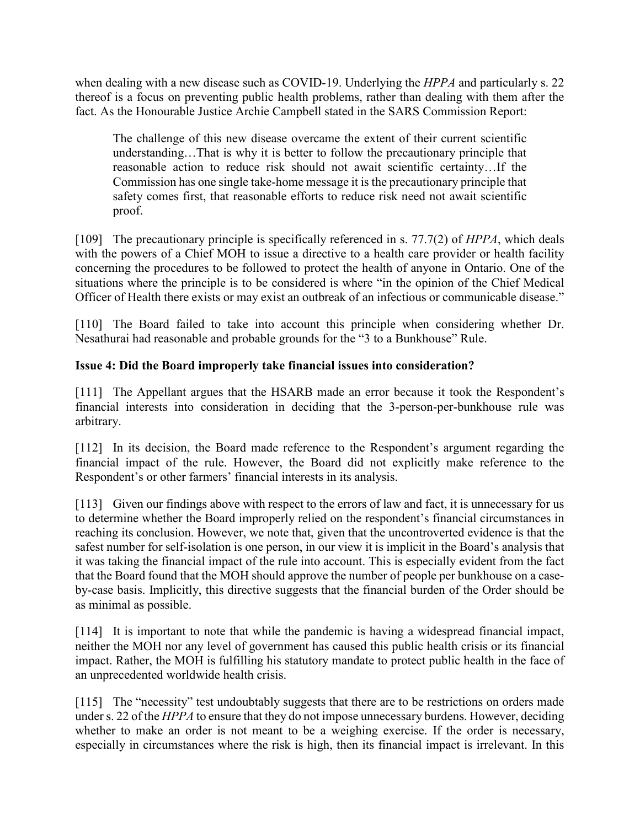when dealing with a new disease such as COVID-19. Underlying the *HPPA* and particularly s. 22 thereof is a focus on preventing public health problems, rather than dealing with them after the fact. As the Honourable Justice Archie Campbell stated in the SARS Commission Report:

The challenge of this new disease overcame the extent of their current scientific understanding…That is why it is better to follow the precautionary principle that reasonable action to reduce risk should not await scientific certainty…If the Commission has one single take-home message it is the precautionary principle that safety comes first, that reasonable efforts to reduce risk need not await scientific proof.

[109] The precautionary principle is specifically referenced in s. 77.7(2) of *HPPA*, which deals with the powers of a Chief MOH to issue a directive to a health care provider or health facility concerning the procedures to be followed to protect the health of anyone in Ontario. One of the situations where the principle is to be considered is where "in the opinion of the Chief Medical Officer of Health there exists or may exist an outbreak of an infectious or communicable disease."

[110] The Board failed to take into account this principle when considering whether Dr. Nesathurai had reasonable and probable grounds for the "3 to a Bunkhouse" Rule.

# **Issue 4: Did the Board improperly take financial issues into consideration?**

[111] The Appellant argues that the HSARB made an error because it took the Respondent's financial interests into consideration in deciding that the 3-person-per-bunkhouse rule was arbitrary.

[112] In its decision, the Board made reference to the Respondent's argument regarding the financial impact of the rule. However, the Board did not explicitly make reference to the Respondent's or other farmers' financial interests in its analysis.

[113] Given our findings above with respect to the errors of law and fact, it is unnecessary for us to determine whether the Board improperly relied on the respondent's financial circumstances in reaching its conclusion. However, we note that, given that the uncontroverted evidence is that the safest number for self-isolation is one person, in our view it is implicit in the Board's analysis that it was taking the financial impact of the rule into account. This is especially evident from the fact that the Board found that the MOH should approve the number of people per bunkhouse on a caseby-case basis. Implicitly, this directive suggests that the financial burden of the Order should be as minimal as possible.

[114] It is important to note that while the pandemic is having a widespread financial impact, neither the MOH nor any level of government has caused this public health crisis or its financial impact. Rather, the MOH is fulfilling his statutory mandate to protect public health in the face of an unprecedented worldwide health crisis.

[115] The "necessity" test undoubtably suggests that there are to be restrictions on orders made under s. 22 of the *HPPA* to ensure that they do not impose unnecessary burdens. However, deciding whether to make an order is not meant to be a weighing exercise. If the order is necessary, especially in circumstances where the risk is high, then its financial impact is irrelevant. In this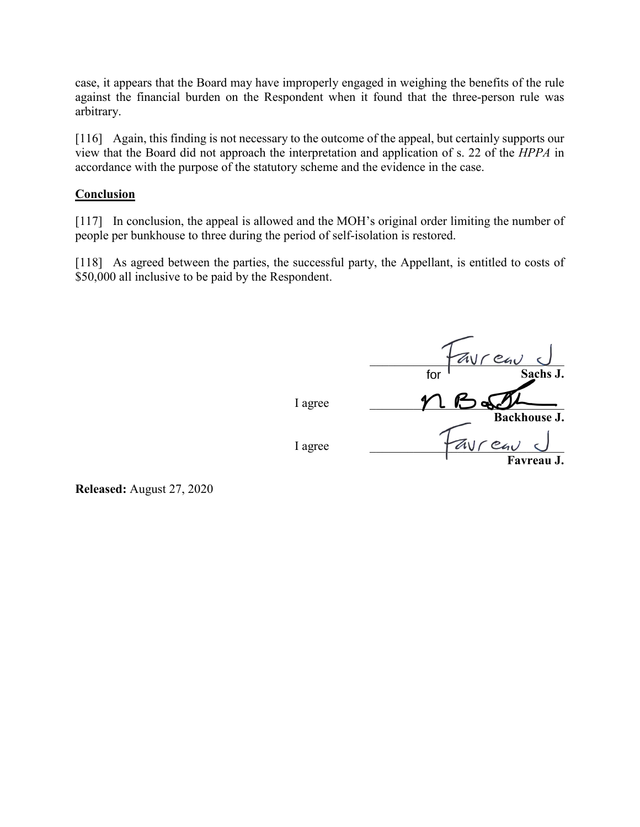case, it appears that the Board may have improperly engaged in weighing the benefits of the rule against the financial burden on the Respondent when it found that the three-person rule was arbitrary.

[116] Again, this finding is not necessary to the outcome of the appeal, but certainly supports our view that the Board did not approach the interpretation and application of s. 22 of the *HPPA* in accordance with the purpose of the statutory scheme and the evidence in the case.

## **Conclusion**

[117] In conclusion, the appeal is allowed and the MOH's original order limiting the number of people per bunkhouse to three during the period of self-isolation is restored.

[118] As agreed between the parties, the successful party, the Appellant, is entitled to costs of \$50,000 all inclusive to be paid by the Respondent.

*Tavreau* **Sachs J.**  I agree **Backhouse J.**  I agree  $I = \sqrt{a}V\sqrt{e}$ **Favreau J.**  for

**Released:** August 27, 2020